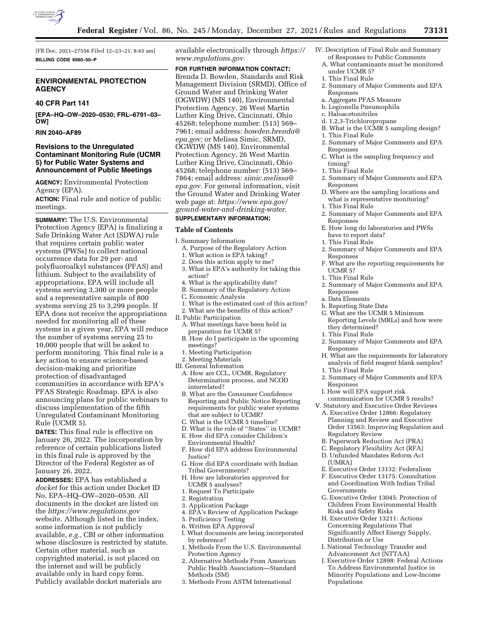

[FR Doc. 2021–27556 Filed 12–23–21; 8:45 am] **BILLING CODE 6560–50–P** 

# **ENVIRONMENTAL PROTECTION AGENCY**

# **40 CFR Part 141**

**[EPA–HQ–OW–2020–0530; FRL–6791–03– OW]** 

#### **RIN 2040–AF89**

### **Revisions to the Unregulated Contaminant Monitoring Rule (UCMR 5) for Public Water Systems and Announcement of Public Meetings**

**AGENCY:** Environmental Protection Agency (EPA).

**ACTION:** Final rule and notice of public meetings.

**SUMMARY:** The U.S. Environmental Protection Agency (EPA) is finalizing a Safe Drinking Water Act (SDWA) rule that requires certain public water systems (PWSs) to collect national occurrence data for 29 per- and polyfluoroalkyl substances (PFAS) and lithium. Subject to the availability of appropriations, EPA will include all systems serving 3,300 or more people and a representative sample of 800 systems serving 25 to 3,299 people. If EPA does not receive the appropriations needed for monitoring all of these systems in a given year, EPA will reduce the number of systems serving 25 to 10,000 people that will be asked to perform monitoring. This final rule is a key action to ensure science-based decision-making and prioritize protection of disadvantaged communities in accordance with EPA's PFAS Strategic Roadmap. EPA is also announcing plans for public webinars to discuss implementation of the fifth Unregulated Contaminant Monitoring Rule (UCMR 5).

**DATES:** This final rule is effective on January 26, 2022. The incorporation by reference of certain publications listed in this final rule is approved by the Director of the Federal Register as of January 26, 2022.

**ADDRESSES:** EPA has established a *docket* for this action under Docket ID No. EPA–HQ–OW–2020–0530. All documents in the docket are listed on the *<https://www.regulations.gov>* website. Although listed in the index, some information is not publicly available, *e.g.,* CBI or other information whose disclosure is restricted by statute. Certain other material, such as copyrighted material, is not placed on the internet and will be publicly available only in hard copy form. Publicly available docket materials are

available electronically through *[https://](https://www.regulations.gov)  [www.regulations.gov.](https://www.regulations.gov)* 

**FOR FURTHER INFORMATION CONTACT:**  Brenda D. Bowden, Standards and Risk Management Division (SRMD), Office of Ground Water and Drinking Water (OGWDW) (MS 140), Environmental Protection Agency, 26 West Martin Luther King Drive, Cincinnati, Ohio 45268; telephone number: (513) 569– 7961; email address: *[bowden.brenda@](mailto:bowden.brenda@epa.gov) [epa.gov;](mailto:bowden.brenda@epa.gov)* or Melissa Simic, SRMD, OGWDW (MS 140), Environmental Protection Agency, 26 West Martin Luther King Drive, Cincinnati, Ohio 45268; telephone number: (513) 569– 7864; email address: *[simic.melissa@](mailto:simic.melissa@epa.gov) [epa.gov.](mailto:simic.melissa@epa.gov)* For general information, visit the Ground Water and Drinking Water web page at: *[https://www.epa.gov/](https://www.epa.gov/ground-water-and-drinking-water) [ground-water-and-drinking-water.](https://www.epa.gov/ground-water-and-drinking-water)* 

#### **SUPPLEMENTARY INFORMATION:**

#### **Table of Contents**

I. Summary Information

- A. Purpose of the Regulatory Action 1. What action is EPA taking?
- 2. Does this action apply to me?
- 3. What is EPA's authority for taking this action?
- 4. What is the applicability date?
- B. Summary of the Regulatory Action
- C. Economic Analysis
- 1. What is the estimated cost of this action?
- 2. What are the benefits of this action?
- II. Public Participation
	- A. What meetings have been held in preparation for UCMR 5?
	- B. How do I participate in the upcoming meetings?
	- 1. Meeting Participation
	- 2. Meeting Materials
- III. General Information
- A. How are CCL, UCMR, Regulatory Determination process, and NCOD interrelated?
- B. What are the Consumer Confidence Reporting and Public Notice Reporting requirements for public water systems that are subject to UCMR?
- C. What is the UCMR 5 timeline?
- D. What is the role of ''States'' in UCMR?
- E. How did EPA consider Children's Environmental Health?
- F. How did EPA address Environmental Justice?
- G. How did EPA coordinate with Indian Tribal Governments?
- H. How are laboratories approved for UCMR 5 analyses?
- 1. Request To Participate
- 2. Registration
- 3. Application Package
- 4. EPA's Review of Application Package
- 5. Proficiency Testing
- 6. Written EPA Approval
- I. What documents are being incorporated by reference?
- 1. Methods From the U.S. Environmental Protection Agency
- 2. Alternative Methods From American Public Health Association—Standard Methods (SM)
- 3. Methods From ASTM International
- IV. Description of Final Rule and Summary of Responses to Public Comments
	- A. What contaminants must be monitored under UCMR 5?
	- 1. This Final Rule
	- 2. Summary of Major Comments and EPA Responses
- a. Aggregate PFAS Measure
- b. Legionella Pneumophila
	- c. Haloacetonitriles
		- d. 1,2,3-Trichloropropane
		- B. What is the UCMR 5 sampling design?
	- 1. This Final Rule
	- 2. Summary of Major Comments and EPA Responses
	- C. What is the sampling frequency and timing?
	- 1. This Final Rule
	- 2. Summary of Major Comments and EPA Responses
	- D. Where are the sampling locations and what is representative monitoring?
	- 1. This Final Rule
	- 2. Summary of Major Comments and EPA Responses
	- E. How long do laboratories and PWSs have to report data?
	- 1. This Final Rule
	- 2. Summary of Major Comments and EPA Responses
	- F. What are the reporting requirements for UCMR 5?
	- 1. This Final Rule
	- 2. Summary of Major Comments and EPA Responses
	- a. Data Elements
	- b. Reporting State Data
	- G. What are the UCMR 5 Minimum Reporting Levels (MRLs) and how were they determined?
	- 1. This Final Rule
	- 2. Summary of Major Comments and EPA Responses
	- H. What are the requirements for laboratory analysis of field reagent blank samples?
	- 1. This Final Rule
	- 2. Summary of Major Comments and EPA Responses
	- I. How will EPA support risk communication for UCMR 5 results?
	- V. Statutory and Executive Order Reviews A. Executive Order 12866: Regulatory Planning and Review and Executive
		- Order 13563: Improving Regulation and Regulatory Review
		- B. Paperwork Reduction Act (PRA)
		- C. Regulatory Flexibility Act (RFA)
		- D. Unfunded Mandates Reform Act (UMRA)
		- E. Executive Order 13132: Federalism
		- F. Executive Order 13175: Consultation and Coordination With Indian Tribal Governments
		- G. Executive Order 13045: Protection of Children From Environmental Health Risks and Safety Risks
		- H. Executive Order 13211: Actions Concerning Regulations That Significantly Affect Energy Supply, Distribution or Use
	- I. National Technology Transfer and Advancement Act (NTTAA)
	- J. Executive Order 12898: Federal Actions To Address Environmental Justice in Minority Populations and Low-Income Populations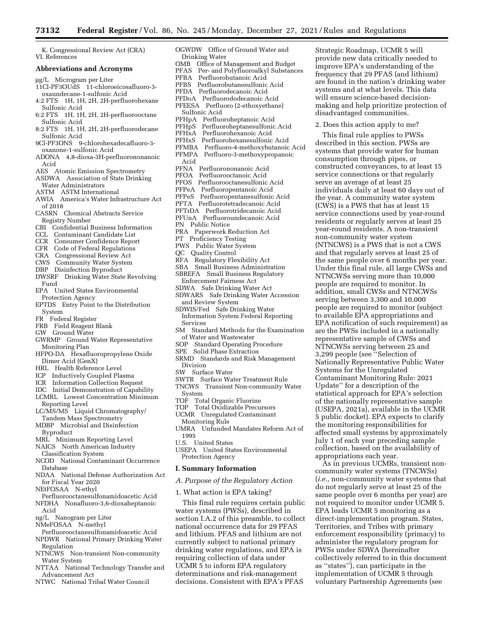K. Congressional Review Act (CRA) VI. References

#### **Abbreviations and Acronyms**

- ug/L Microgram per Liter
- 11Cl-PF3OUdS 11-chloroeicosafluoro-3 oxaundecane-1-sulfonic Acid
- 4:2 FTS 1H, 1H, 2H, 2H-perfluorohexane Sulfonic Acid
- 6:2 FTS 1H, 1H, 2H, 2H-perfluorooctane Sulfonic Acid
- 8:2 FTS 1H, 1H, 2H, 2H-perfluorodecane Sulfonic Acid
- 9Cl-PF3ONS 9-chlorohexadecafluoro-3 oxanone-1-sulfonic Acid
- ADONA 4,8-dioxa-3H-perfluorononanoic Acid
- AES Atomic Emission Spectrometry
- ASDWA Association of State Drinking
- Water Administrators
- ASTM ASTM International
- AWIA America's Water Infrastructure Act of 2018
- CASRN Chemical Abstracts Service Registry Number
- CBI Confidential Business Information
- CCL Contaminant Candidate List
- CCR Consumer Confidence Report
- CFR Code of Federal Regulations
- CRA Congressional Review Act
- CWS Community Water System
- DBP Disinfection Byproduct
- DWSRF Drinking Water State Revolving Fund
- EPA United States Environmental Protection Agency
- EPTDS Entry Point to the Distribution System
- FR Federal Register
- FRB Field Reagent Blank
- GW Ground Water
- GWRMP Ground Water Representative Monitoring Plan
- HFPO-DA Hexafluoropropylene Oxide Dimer Acid (GenX)
- HRL Health Reference Level
- ICP Inductively Coupled Plasma
- ICR Information Collection Request
- IDC Initial Demonstration of Capability
- LCMRL Lowest Concentration Minimum Reporting Level
- LC/MS/MS Liquid Chromatography/ Tandem Mass Spectrometry
- MDBP Microbial and Disinfection Byproduct
- MRL Minimum Reporting Level
- NAICS North American Industry
- Classification System
- NCOD National Contaminant Occurrence Database
- NDAA National Defense Authorization Act for Fiscal Year 2020
- NEtFOSAA N-ethyl
- Perfluorooctanesulfonamidoacetic Acid NFDHA Nonafluoro-3,6-dioxaheptanoic
- Acid
- ng/L Nanogram per Liter
- NMeFOSAA N-methyl
- Perfluorooctanesulfonamidoacetic Acid NPDWR National Primary Drinking Water Regulation
- NTNCWS Non-transient Non-community Water System
- NTTAA National Technology Transfer and Advancement Act
- NTWC National Tribal Water Council

OGWDW Office of Ground Water and Drinking Water<br>OMB Office of N Office of Management and Budget PFAS Per- and Polyfluoroalkyl Substances Perfluorobutanoic Acid PFBS Perfluorobutanesulfonic Acid PFDA Perfluorodecanoic Acid

Strategic Roadmap, UCMR 5 will provide new data critically needed to improve EPA's understanding of the frequency that 29 PFAS (and lithium) are found in the nation's drinking water systems and at what levels. This data will ensure science-based decisionmaking and help prioritize protection of

disadvantaged communities. 2. Does this action apply to me? This final rule applies to PWSs described in this section. PWSs are systems that provide water for human consumption through pipes, or constructed conveyances, to at least 15 service connections or that regularly serve an average of at least 25

individuals daily at least 60 days out of the year. A community water system (CWS) is a PWS that has at least 15 service connections used by year-round residents or regularly serves at least 25 year-round residents. A non-transient non-community water system

(NTNCWS) is a PWS that is not a CWS and that regularly serves at least 25 of the same people over 6 months per year. Under this final rule, all large CWSs and NTNCWSs serving more than 10,000 people are required to monitor. In addition, small CWSs and NTNCWSs serving between 3,300 and 10,000 people are required to monitor (subject to available EPA appropriations and EPA notification of such requirement) as are the PWSs included in a nationally representative sample of CWSs and NTNCWSs serving between 25 and 3,299 people (see ''Selection of Nationally Representative Public Water

Systems for the Unregulated Contaminant Monitoring Rule: 2021 Update'' for a description of the statistical approach for EPA's selection of the nationally representative sample (USEPA, 2021a), available in the UCMR 5 public docket). EPA expects to clarify the monitoring responsibilities for affected small systems by approximately July 1 of each year preceding sample collection, based on the availability of

appropriations each year.

As in previous UCMRs, transient noncommunity water systems (TNCWSs) (*i.e.,* non-community water systems that do not regularly serve at least 25 of the same people over 6 months per year) are not required to monitor under UCMR 5. EPA leads UCMR 5 monitoring as a direct-implementation program. States, Territories, and Tribes with primary enforcement responsibility (primacy) to administer the regulatory program for PWSs under SDWA (hereinafter

collectively referred to in this document as ''states''), can participate in the implementation of UCMR 5 through voluntary Partnership Agreements (see

- PFDoA Perfluorododecanoic Acid
- PFEESA Perfluoro (2-ethoxyethane) Sulfonic Acid
- PFHpA Perfluoroheptanoic Acid
- 
- PFHpS Perfluoroheptanesulfonic Acid Perfluorohexanoic Acid
- 
- PFHxS Perfluorohexanesulfonic Acid
- PFMBA Perfluoro-4-methoxybutanoic Acid Perfluoro-3-methoxypropanoic
- 
- Acid<br>PFNA Perfluorononanoic Acid
- PFOA Perfluorooctanoic Acid
- PFOS Perfluorooctanesulfonic Acid
- 
- PFPeA Perfluoropentanoic Acid Perfluoropentanesulfonic Acid
- 
- PFTA Perfluorotetradecanoic Acid
- PFTrDA Perfluorotridecanoic Acid
- PFUnA Perfluoroundecanoic Acid
- PN Public Notice
- PRA Paperwork Reduction Act
- PT Proficiency Testing
- PWS Public Water System
- QC Quality Control
- RFA Regulatory Flexibility Act
- SBA Small Business Administration
- SBREFA Small Business Regulatory
- Enforcement Fairness Act
- SDWA Safe Drinking Water Act
- SDWARS Safe Drinking Water Accession and Review System
- SDWIS/Fed Safe Drinking Water Information System Federal Reporting Services
- SM Standard Methods for the Examination of Water and Wastewater
- SOP Standard Operating Procedure
- SPE Solid Phase Extraction
- SRMD Standards and Risk Management Division
- SW Surface Water
- SWTR Surface Water Treatment Rule
- TNCWS Transient Non-community Water System<br>TOF Tot
- Total Organic Fluorine
- TOP Total Oxidizable Precursors
- UCMR Unregulated Contaminant
- Monitoring Rule
- UMRA Unfunded Mandates Reform Act of 1995
- U.S. United States
- USEPA United States Environmental Protection Agency

#### **I. Summary Information**

*A. Purpose of the Regulatory Action* 

This final rule requires certain public water systems (PWSs), described in section I.A.2 of this preamble, to collect national occurrence data for 29 PFAS and lithium. PFAS and lithium are not currently subject to national primary drinking water regulations, and EPA is requiring collection of data under UCMR 5 to inform EPA regulatory determinations and risk-management decisions. Consistent with EPA's PFAS

1. What action is EPA taking?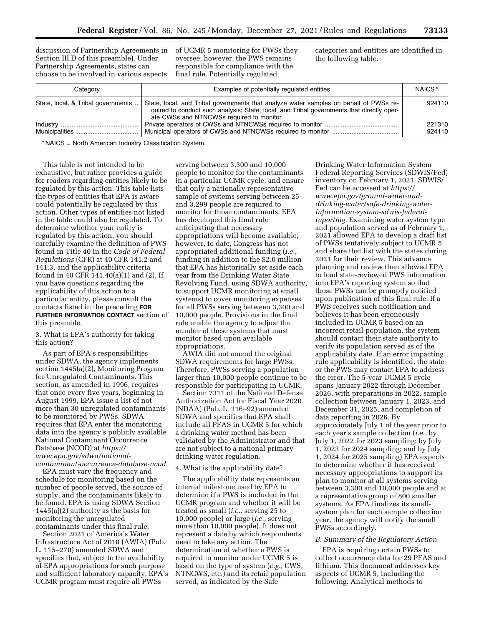discussion of Partnership Agreements in of UCMR 5 monitoring for PWSs they Section III.D of this preamble). Under Partnership Agreements, states can choose to be involved in various aspects

oversee; however, the PWS remains responsible for compliance with the final rule. Potentially regulated

categories and entities are identified in the following table.

| Category                           | Examples of potentially regulated entities                                                                                                                                                                                      | NAICS <sup>*</sup> |
|------------------------------------|---------------------------------------------------------------------------------------------------------------------------------------------------------------------------------------------------------------------------------|--------------------|
| State, local, & Tribal governments | State, local, and Tribal governments that analyze water samples on behalf of PWSs re-<br>quired to conduct such analysis; State, local, and Tribal governments that directly oper-<br>ate CWSs and NTNCWSs required to monitor. | 924110             |
|                                    |                                                                                                                                                                                                                                 | 221310<br>924110   |

\* NAICS = North American Industry Classification System.

This table is not intended to be exhaustive, but rather provides a guide for readers regarding entities likely to be regulated by this action. This table lists the types of entities that EPA is aware could potentially be regulated by this action. Other types of entities not listed in the table could also be regulated. To determine whether your entity is regulated by this action, you should carefully examine the definition of PWS found in Title 40 in the *Code of Federal Regulations* (CFR) at 40 CFR 141.2 and 141.3, and the applicability criteria found in 40 CFR 141.40(a)(1) and (2). If you have questions regarding the applicability of this action to a particular entity, please consult the contacts listed in the preceding **FOR FURTHER INFORMATION CONTACT** section of this preamble.

3. What is EPA's authority for taking this action?

As part of EPA's responsibilities under SDWA, the agency implements section 1445(a)(2), Monitoring Program for Unregulated Contaminants. This section, as amended in 1996, requires that once every five years, beginning in August 1999, EPA issue a list of not more than 30 unregulated contaminants to be monitored by PWSs. SDWA requires that EPA enter the monitoring data into the agency's publicly available National Contaminant Occurrence Database (NCOD) at *[https://](https://www.epa.gov/sdwa/national-contaminant-occurrence-database-ncod) [www.epa.gov/sdwa/national](https://www.epa.gov/sdwa/national-contaminant-occurrence-database-ncod)[contaminant-occurrence-database-ncod.](https://www.epa.gov/sdwa/national-contaminant-occurrence-database-ncod)* 

EPA must vary the frequency and schedule for monitoring based on the number of people served, the source of supply, and the contaminants likely to be found. EPA is using SDWA Section 1445(a)(2) authority as the basis for monitoring the unregulated contaminants under this final rule.

Section 2021 of America's Water Infrastructure Act of 2018 (AWIA) (Pub. L. 115–270) amended SDWA and specifies that, subject to the availability of EPA appropriations for such purpose and sufficient laboratory capacity, EPA's UCMR program must require all PWSs

serving between 3,300 and 10,000 people to monitor for the contaminants in a particular UCMR cycle, and ensure that only a nationally representative sample of systems serving between 25 and 3,299 people are required to monitor for those contaminants. EPA has developed this final rule anticipating that necessary appropriations will become available; however, to date, Congress has not appropriated additional funding (*i.e.,*  funding in addition to the \$2.0 million that EPA has historically set aside each year from the Drinking Water State Revolving Fund, using SDWA authority, to support UCMR monitoring at small systems) to cover monitoring expenses for all PWSs serving between 3,300 and 10,000 people. Provisions in the final rule enable the agency to adjust the number of these systems that must monitor based upon available appropriations.

AWIA did not amend the original SDWA requirements for large PWSs. Therefore, PWSs serving a population larger than 10,000 people continue to be responsible for participating in UCMR.

Section 7311 of the National Defense Authorization Act for Fiscal Year 2020 (NDAA) (Pub. L. 116–92) amended SDWA and specifies that EPA shall include all PFAS in UCMR 5 for which a drinking water method has been validated by the Administrator and that are not subject to a national primary drinking water regulation.

#### 4. What is the applicability date?

The applicability date represents an internal milestone used by EPA to determine if a PWS is included in the UCMR program and whether it will be treated as small (*i.e.,* serving 25 to 10,000 people) or large (*i.e.,* serving more than 10,000 people). It does not represent a date by which respondents need to take any action. The determination of whether a PWS is required to monitor under UCMR 5 is based on the type of system (*e.g.,* CWS, NTNCWS, etc.) and its retail population served, as indicated by the Safe

Drinking Water Information System Federal Reporting Services (SDWIS/Fed) inventory on February 1, 2021. SDWIS/ Fed can be accessed at *[https://](https://www.epa.gov/ground-water-and-drinking-water/safe-drinking-water-information-system-sdwis-federal-reporting) [www.epa.gov/ground-water-and](https://www.epa.gov/ground-water-and-drinking-water/safe-drinking-water-information-system-sdwis-federal-reporting)[drinking-water/safe-drinking-water](https://www.epa.gov/ground-water-and-drinking-water/safe-drinking-water-information-system-sdwis-federal-reporting)[information-system-sdwis-federal](https://www.epa.gov/ground-water-and-drinking-water/safe-drinking-water-information-system-sdwis-federal-reporting)[reporting.](https://www.epa.gov/ground-water-and-drinking-water/safe-drinking-water-information-system-sdwis-federal-reporting)* Examining water system type and population served as of February 1, 2021 allowed EPA to develop a draft list of PWSs tentatively subject to UCMR 5 and share that list with the states during 2021 for their review. This advance planning and review then allowed EPA to load state-reviewed PWS information into EPA's reporting system so that those PWSs can be promptly notified upon publication of this final rule. If a PWS receives such notification and believes it has been erroneously included in UCMR 5 based on an incorrect retail population, the system should contact their state authority to verify its population served as of the applicability date. If an error impacting rule applicability is identified, the state or the PWS may contact EPA to address the error. The 5-year UCMR 5 cycle spans January 2022 through December 2026, with preparations in 2022, sample collection between January 1, 2023, and December 31, 2025, and completion of data reporting in 2026. By approximately July 1 of the year prior to each year's sample collection (*i.e.,* by July 1, 2022 for 2023 sampling; by July 1, 2023 for 2024 sampling; and by July 1, 2024 for 2025 sampling) EPA expects to determine whether it has received necessary appropriations to support its plan to monitor at all systems serving between 3,300 and 10,000 people and at a representative group of 800 smaller systems. As EPA finalizes its smallsystem plan for each sample collection year, the agency will notify the small PWSs accordingly.

#### *B. Summary of the Regulatory Action*

EPA is requiring certain PWSs to collect occurrence data for 29 PFAS and lithium. This document addresses key aspects of UCMR 5, including the following: Analytical methods to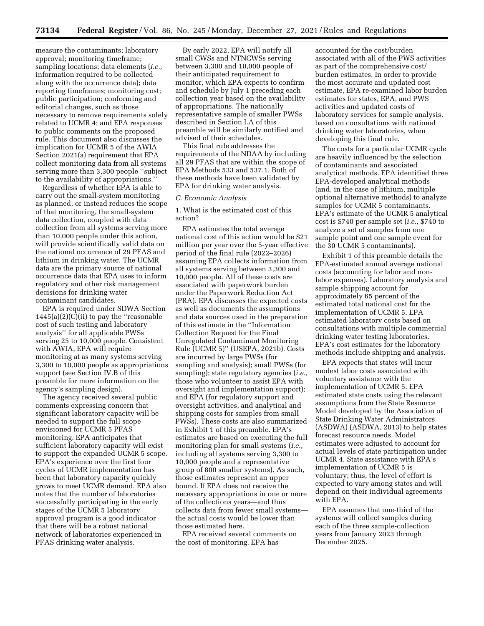measure the contaminants; laboratory approval; monitoring timeframe; sampling locations; data elements (*i.e.,*  information required to be collected along with the occurrence data); data reporting timeframes; monitoring cost; public participation; conforming and editorial changes, such as those necessary to remove requirements solely related to UCMR 4; and EPA responses to public comments on the proposed rule. This document also discusses the implication for UCMR 5 of the AWIA Section 2021(a) requirement that EPA collect monitoring data from all systems serving more than 3,300 people ''subject to the availability of appropriations.''

Regardless of whether EPA is able to carry out the small-system monitoring as planned, or instead reduces the scope of that monitoring, the small-system data collection, coupled with data collection from all systems serving more than 10,000 people under this action, will provide scientifically valid data on the national occurrence of 29 PFAS and lithium in drinking water. The UCMR data are the primary source of national occurrence data that EPA uses to inform regulatory and other risk management decisions for drinking water contaminant candidates.

EPA is required under SDWA Section  $1445(a)(2)(C)(ii)$  to pay the "reasonable" cost of such testing and laboratory analysis'' for all applicable PWSs serving 25 to 10,000 people. Consistent with AWIA, EPA will require monitoring at as many systems serving 3,300 to 10,000 people as appropriations support (see Section IV.B of this preamble for more information on the agency's sampling design).

The agency received several public comments expressing concern that significant laboratory capacity will be needed to support the full scope envisioned for UCMR 5 PFAS monitoring. EPA anticipates that sufficient laboratory capacity will exist to support the expanded UCMR 5 scope. EPA's experience over the first four cycles of UCMR implementation has been that laboratory capacity quickly grows to meet UCMR demand. EPA also notes that the number of laboratories successfully participating in the early stages of the UCMR 5 laboratory approval program is a good indicator that there will be a robust national network of laboratories experienced in PFAS drinking water analysis.

By early 2022, EPA will notify all small CWSs and NTNCWSs serving between 3,300 and 10,000 people of their anticipated requirement to monitor, which EPA expects to confirm and schedule by July 1 preceding each collection year based on the availability of appropriations. The nationally representative sample of smaller PWSs described in Section I.A of this preamble will be similarly notified and advised of their schedules.

This final rule addresses the requirements of the NDAA by including all 29 PFAS that are within the scope of EPA Methods 533 and 537.1. Both of these methods have been validated by EPA for drinking water analysis.

### *C. Economic Analysis*

1. What is the estimated cost of this action?

EPA estimates the total average national cost of this action would be \$21 million per year over the 5-year effective period of the final rule (2022–2026) assuming EPA collects information from all systems serving between 3,300 and 10,000 people. All of these costs are associated with paperwork burden under the Paperwork Reduction Act (PRA). EPA discusses the expected costs as well as documents the assumptions and data sources used in the preparation of this estimate in the ''Information Collection Request for the Final Unregulated Contaminant Monitoring Rule (UCMR 5)'' (USEPA, 2021b). Costs are incurred by large PWSs (for sampling and analysis); small PWSs (for sampling); state regulatory agencies (*i.e.,*  those who volunteer to assist EPA with oversight and implementation support); and EPA (for regulatory support and oversight activities, and analytical and shipping costs for samples from small PWSs). These costs are also summarized in Exhibit 1 of this preamble. EPA's estimates are based on executing the full monitoring plan for small systems (*i.e.,*  including all systems serving 3,300 to 10,000 people and a representative group of 800 smaller systems). As such, those estimates represent an upper bound. If EPA does not receive the necessary appropriations in one or more of the collections years—and thus collects data from fewer small systems the actual costs would be lower than those estimated here.

EPA received several comments on the cost of monitoring. EPA has

accounted for the cost/burden associated with all of the PWS activities as part of the comprehensive cost/ burden estimates. In order to provide the most accurate and updated cost estimate, EPA re-examined labor burden estimates for states, EPA, and PWS activities and updated costs of laboratory services for sample analysis, based on consultations with national drinking water laboratories, when developing this final rule.

The costs for a particular UCMR cycle are heavily influenced by the selection of contaminants and associated analytical methods. EPA identified three EPA-developed analytical methods (and, in the case of lithium, multiple optional alternative methods) to analyze samples for UCMR 5 contaminants. EPA's estimate of the UCMR 5 analytical cost is \$740 per sample set (*i.e.,* \$740 to analyze a set of samples from one sample point and one sample event for the 30 UCMR 5 contaminants).

Exhibit 1 of this preamble details the EPA-estimated annual average national costs (accounting for labor and nonlabor expenses). Laboratory analysis and sample shipping account for approximately 65 percent of the estimated total national cost for the implementation of UCMR 5. EPA estimated laboratory costs based on consultations with multiple commercial drinking water testing laboratories. EPA's cost estimates for the laboratory methods include shipping and analysis.

EPA expects that states will incur modest labor costs associated with voluntary assistance with the implementation of UCMR 5. EPA estimated state costs using the relevant assumptions from the State Resource Model developed by the Association of State Drinking Water Administrators (ASDWA) (ASDWA, 2013) to help states forecast resource needs. Model estimates were adjusted to account for actual levels of state participation under UCMR 4. State assistance with EPA's implementation of UCMR 5 is voluntary; thus, the level of effort is expected to vary among states and will depend on their individual agreements with EPA.

EPA assumes that one-third of the systems will collect samples during each of the three sample-collection years from January 2023 through December 2025.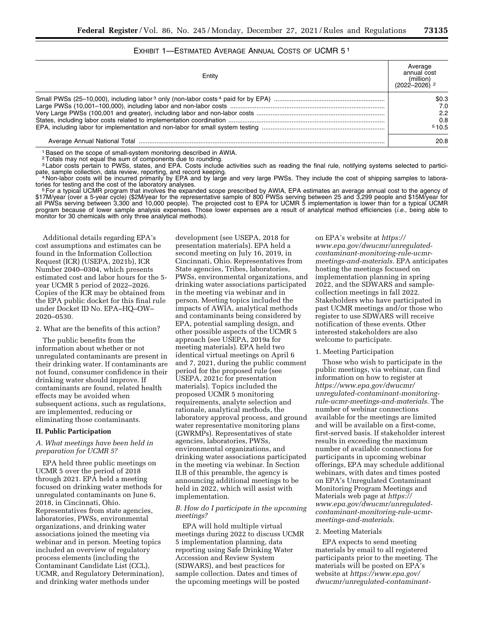# EXHIBIT 1—ESTIMATED AVERAGE ANNUAL COSTS OF UCMR 5 1

| Entity | Average<br>annual cost<br>(million)<br>$(2022 - 2026)$ <sup>2</sup> |
|--------|---------------------------------------------------------------------|
|        | \$0.3                                                               |
|        | 7.0                                                                 |
|        | 2.2                                                                 |
|        | 0.8                                                                 |
|        | 510.5                                                               |
|        | 20.8                                                                |

1Based on the scope of small-system monitoring described in AWIA.

2Totals may not equal the sum of components due to rounding.

3 Labor costs pertain to PWSs, states, and EPA. Costs include activities such as reading the final rule, notifying systems selected to partici-

pate, sample collection, data review, reporting, and record keeping.<br>4 Non-labor costs will be incurred primarily by EPA and by large and very large PWSs. They include the cost of shipping samples to labora-<br>tories for tes tories for testing and the cost of the laboratory analyses.<br><sup>5</sup>For a typical UCMR program that involves the expanded scope prescribed by AWIA, EPA estimates an average annual cost to the agency of

\$17M/year (over a 5-year cycle) (\$2M/year for the representative sample of 800 PWSs serving between 25 and 3,299 people and \$15M/year for all PWSs serving between 3,300 and 10,000 people). The projected cost to EPA for UCMR 5 implementation is lower than for a typical UCMR program because of lower sample analysis expenses. Those lower expenses are a result of analytical method efficiencies (*i.e.,* being able to monitor for 30 chemicals with only three analytical methods).

Additional details regarding EPA's cost assumptions and estimates can be found in the Information Collection Request (ICR) (USEPA, 2021b), ICR Number 2040–0304, which presents estimated cost and labor hours for the 5 year UCMR 5 period of 2022–2026. Copies of the ICR may be obtained from the EPA public docket for this final rule under Docket ID No. EPA–HQ–OW– 2020–0530.

2. What are the benefits of this action?

The public benefits from the information about whether or not unregulated contaminants are present in their drinking water. If contaminants are not found, consumer confidence in their drinking water should improve. If contaminants are found, related health effects may be avoided when subsequent actions, such as regulations, are implemented, reducing or eliminating those contaminants.

### **II. Public Participation**

#### *A. What meetings have been held in preparation for UCMR 5?*

EPA held three public meetings on UCMR 5 over the period of 2018 through 2021. EPA held a meeting focused on drinking water methods for unregulated contaminants on June 6, 2018, in Cincinnati, Ohio. Representatives from state agencies, laboratories, PWSs, environmental organizations, and drinking water associations joined the meeting via webinar and in person. Meeting topics included an overview of regulatory process elements (including the Contaminant Candidate List (CCL), UCMR, and Regulatory Determination), and drinking water methods under

development (see USEPA, 2018 for presentation materials). EPA held a second meeting on July 16, 2019, in Cincinnati, Ohio. Representatives from State agencies, Tribes, laboratories, PWSs, environmental organizations, and drinking water associations participated in the meeting via webinar and in person. Meeting topics included the impacts of AWIA, analytical methods and contaminants being considered by EPA, potential sampling design, and other possible aspects of the UCMR 5 approach (see USEPA, 2019a for meeting materials). EPA held two identical virtual meetings on April 6 and 7, 2021, during the public comment period for the proposed rule (see USEPA, 2021c for presentation materials). Topics included the proposed UCMR 5 monitoring requirements, analyte selection and rationale, analytical methods, the laboratory approval process, and ground water representative monitoring plans (GWRMPs). Representatives of state agencies, laboratories, PWSs, environmental organizations, and drinking water associations participated in the meeting via webinar. In Section II.B of this preamble, the agency is announcing additional meetings to be held in 2022, which will assist with implementation.

#### *B. How do I participate in the upcoming meetings?*

EPA will hold multiple virtual meetings during 2022 to discuss UCMR 5 implementation planning, data reporting using Safe Drinking Water Accession and Review System (SDWARS), and best practices for sample collection. Dates and times of the upcoming meetings will be posted

on EPA's website at *[https://](https://www.epa.gov/dwucmr/unregulated-contaminant-monitoring-rule-ucmr-meetings-and-materials) [www.epa.gov/dwucmr/unregulated](https://www.epa.gov/dwucmr/unregulated-contaminant-monitoring-rule-ucmr-meetings-and-materials)[contaminant-monitoring-rule-ucmr](https://www.epa.gov/dwucmr/unregulated-contaminant-monitoring-rule-ucmr-meetings-and-materials)[meetings-and-materials.](https://www.epa.gov/dwucmr/unregulated-contaminant-monitoring-rule-ucmr-meetings-and-materials)* EPA anticipates hosting the meetings focused on implementation planning in spring 2022, and the SDWARS and samplecollection meetings in fall 2022. Stakeholders who have participated in past UCMR meetings and/or those who register to use SDWARS will receive notification of these events. Other interested stakeholders are also welcome to participate.

#### 1. Meeting Participation

Those who wish to participate in the public meetings, via webinar, can find information on how to register at *[https://www.epa.gov/dwucmr/](https://www.epa.gov/dwucmr/unregulated-contaminant-monitoring-rule-ucmr-meetings-and-materials) [unregulated-contaminant-monitoring](https://www.epa.gov/dwucmr/unregulated-contaminant-monitoring-rule-ucmr-meetings-and-materials)[rule-ucmr-meetings-and-materials.](https://www.epa.gov/dwucmr/unregulated-contaminant-monitoring-rule-ucmr-meetings-and-materials)* The number of webinar connections available for the meetings are limited and will be available on a first-come, first-served basis. If stakeholder interest results in exceeding the maximum number of available connections for participants in upcoming webinar offerings, EPA may schedule additional webinars, with dates and times posted on EPA's Unregulated Contaminant Monitoring Program Meetings and Materials web page at *[https://](https://www.epa.gov/dwucmr/unregulated-contaminant-monitoring-rule-ucmr-meetings-and-materials) [www.epa.gov/dwucmr/unregulated](https://www.epa.gov/dwucmr/unregulated-contaminant-monitoring-rule-ucmr-meetings-and-materials)[contaminant-monitoring-rule-ucmr](https://www.epa.gov/dwucmr/unregulated-contaminant-monitoring-rule-ucmr-meetings-and-materials)[meetings-and-materials.](https://www.epa.gov/dwucmr/unregulated-contaminant-monitoring-rule-ucmr-meetings-and-materials)* 

#### 2. Meeting Materials

EPA expects to send meeting materials by email to all registered participants prior to the meeting. The materials will be posted on EPA's website at *[https://www.epa.gov/](https://www.epa.gov/dwucmr/unregulated-contaminant-monitoring-rule-ucmr-meetings-and-materials)  [dwucmr/unregulated-contaminant-](https://www.epa.gov/dwucmr/unregulated-contaminant-monitoring-rule-ucmr-meetings-and-materials)*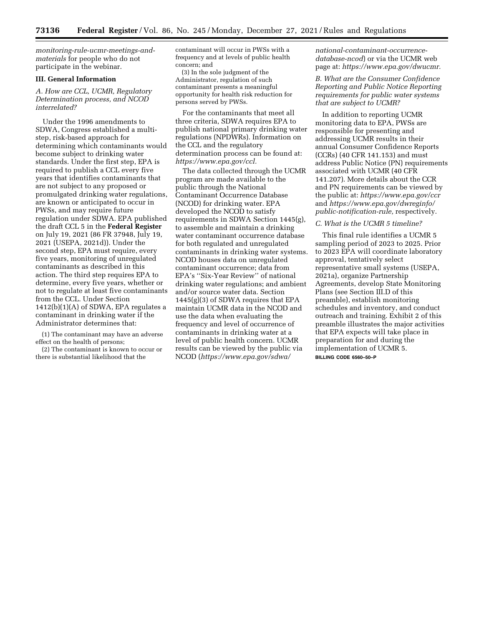*[monitoring-rule-ucmr-meetings-and](https://www.epa.gov/dwucmr/unregulated-contaminant-monitoring-rule-ucmr-meetings-and-materials)[materials](https://www.epa.gov/dwucmr/unregulated-contaminant-monitoring-rule-ucmr-meetings-and-materials)* for people who do not participate in the webinar.

#### **III. General Information**

*A. How are CCL, UCMR, Regulatory Determination process, and NCOD interrelated?* 

Under the 1996 amendments to SDWA, Congress established a multistep, risk-based approach for determining which contaminants would become subject to drinking water standards. Under the first step, EPA is required to publish a CCL every five years that identifies contaminants that are not subject to any proposed or promulgated drinking water regulations, are known or anticipated to occur in PWSs, and may require future regulation under SDWA. EPA published the draft CCL 5 in the **Federal Register**  on July 19, 2021 (86 FR 37948, July 19, 2021 (USEPA, 2021d)). Under the second step, EPA must require, every five years, monitoring of unregulated contaminants as described in this action. The third step requires EPA to determine, every five years, whether or not to regulate at least five contaminants from the CCL. Under Section  $1412(b)(1)(A)$  of SDWA, EPA regulates a contaminant in drinking water if the Administrator determines that:

(1) The contaminant may have an adverse effect on the health of persons;

(2) The contaminant is known to occur or there is substantial likelihood that the

contaminant will occur in PWSs with a frequency and at levels of public health concern; and

(3) In the sole judgment of the Administrator, regulation of such contaminant presents a meaningful opportunity for health risk reduction for persons served by PWSs.

For the contaminants that meet all three criteria, SDWA requires EPA to publish national primary drinking water regulations (NPDWRs). Information on the CCL and the regulatory determination process can be found at: *[https://www.epa.gov/ccl.](https://www.epa.gov/ccl)* 

The data collected through the UCMR program are made available to the public through the National Contaminant Occurrence Database (NCOD) for drinking water. EPA developed the NCOD to satisfy requirements in SDWA Section 1445(g), to assemble and maintain a drinking water contaminant occurrence database for both regulated and unregulated contaminants in drinking water systems. NCOD houses data on unregulated contaminant occurrence; data from EPA's ''Six-Year Review'' of national drinking water regulations; and ambient and/or source water data. Section 1445(g)(3) of SDWA requires that EPA maintain UCMR data in the NCOD and use the data when evaluating the frequency and level of occurrence of contaminants in drinking water at a level of public health concern. UCMR results can be viewed by the public via NCOD (*[https://www.epa.gov/sdwa/](https://www.epa.gov/sdwa/national-contaminant-occurrence-database-ncod)* 

*[national-contaminant-occurrence](https://www.epa.gov/sdwa/national-contaminant-occurrence-database-ncod)[database-ncod](https://www.epa.gov/sdwa/national-contaminant-occurrence-database-ncod)*) or via the UCMR web page at: *[https://www.epa.gov/dwucmr.](https://www.epa.gov/dwucmr)* 

*B. What are the Consumer Confidence Reporting and Public Notice Reporting requirements for public water systems that are subject to UCMR?* 

In addition to reporting UCMR monitoring data to EPA, PWSs are responsible for presenting and addressing UCMR results in their annual Consumer Confidence Reports (CCRs) (40 CFR 141.153) and must address Public Notice (PN) requirements associated with UCMR (40 CFR 141.207). More details about the CCR and PN requirements can be viewed by the public at: *<https://www.epa.gov/ccr>*  and *[https://www.epa.gov/dwreginfo/](https://www.epa.gov/dwreginfo/public-notification-rule) [public-notification-rule,](https://www.epa.gov/dwreginfo/public-notification-rule)* respectively.

### *C. What is the UCMR 5 timeline?*

This final rule identifies a UCMR 5 sampling period of 2023 to 2025. Prior to 2023 EPA will coordinate laboratory approval, tentatively select representative small systems (USEPA, 2021a), organize Partnership Agreements, develop State Monitoring Plans (see Section III.D of this preamble), establish monitoring schedules and inventory, and conduct outreach and training. Exhibit 2 of this preamble illustrates the major activities that EPA expects will take place in preparation for and during the implementation of UCMR 5. **BILLING CODE 6560–50–P**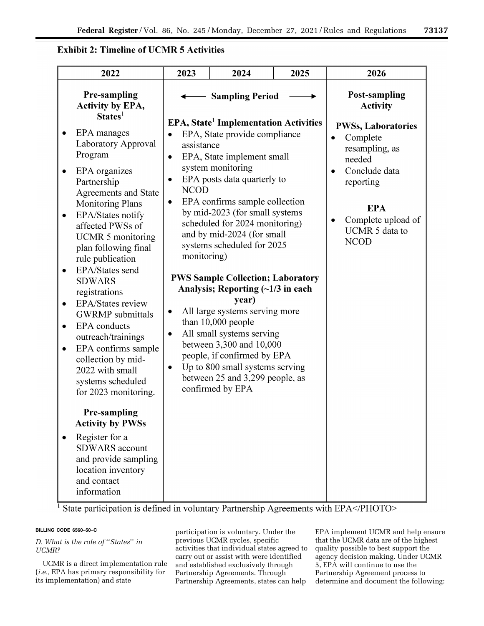# **Exhibit 2: Timeline of UCMR 5 Activities**

| 2022                                                                                                                                                                                                                    | 2023                           | 2024                                                                                                                                                                                                                                                                                       | 2025 | 2026                                                                                                                       |
|-------------------------------------------------------------------------------------------------------------------------------------------------------------------------------------------------------------------------|--------------------------------|--------------------------------------------------------------------------------------------------------------------------------------------------------------------------------------------------------------------------------------------------------------------------------------------|------|----------------------------------------------------------------------------------------------------------------------------|
| <b>Pre-sampling</b><br>Activity by EPA,<br>$States1$                                                                                                                                                                    |                                | <b>Sampling Period</b>                                                                                                                                                                                                                                                                     |      | <b>Post-sampling</b><br><b>Activity</b>                                                                                    |
| EPA manages<br>Laboratory Approval<br>Program<br>EPA organizes<br>Partnership<br><b>Agreements and State</b><br><b>Monitoring Plans</b>                                                                                 | assistance<br><b>NCOD</b><br>٠ | <b>EPA, State<sup>1</sup></b> Implementation Activities<br>EPA, State provide compliance<br>EPA, State implement small<br>system monitoring<br>EPA posts data quarterly to<br>EPA confirms sample collection                                                                               |      | <b>PWSs, Laboratories</b><br>Complete<br>$\bullet$<br>resampling, as<br>needed<br>Conclude data<br>reporting<br><b>EPA</b> |
| EPA/States notify<br>affected PWSs of<br><b>UCMR 5 monitoring</b><br>plan following final<br>rule publication<br>EPA/States send<br><b>SDWARS</b>                                                                       | monitoring)                    | by mid-2023 (for small systems<br>scheduled for 2024 monitoring)<br>and by mid-2024 (for small<br>systems scheduled for 2025<br><b>PWS Sample Collection; Laboratory</b>                                                                                                                   |      | Complete upload of<br>UCMR 5 data to<br><b>NCOD</b>                                                                        |
| registrations<br>EPA/States review<br><b>GWRMP</b> submittals<br><b>EPA</b> conducts<br>outreach/trainings<br>EPA confirms sample<br>collection by mid-<br>2022 with small<br>systems scheduled<br>for 2023 monitoring. | ٠<br>٠                         | Analysis; Reporting $(\sim 1/3$ in each<br>year)<br>All large systems serving more<br>than 10,000 people<br>All small systems serving<br>between 3,300 and 10,000<br>people, if confirmed by EPA<br>Up to 800 small systems serving<br>between 25 and 3,299 people, as<br>confirmed by EPA |      |                                                                                                                            |
| <b>Pre-sampling</b><br><b>Activity by PWSs</b><br>Register for a<br><b>SDWARS</b> account<br>and provide sampling<br>location inventory<br>and contact<br>information                                                   |                                |                                                                                                                                                                                                                                                                                            |      |                                                                                                                            |

 $\frac{1}{1}$  State participation is defined in voluntary Partnership Agreements with EPA $\le$ /PHOTO>

# **BILLING CODE 6560–50–C**

*D. What is the role of* ''*States*'' *in UCMR?* 

UCMR is a direct implementation rule (*i.e.,* EPA has primary responsibility for its implementation) and state

participation is voluntary. Under the previous UCMR cycles, specific activities that individual states agreed to carry out or assist with were identified and established exclusively through Partnership Agreements. Through Partnership Agreements, states can help

EPA implement UCMR and help ensure that the UCMR data are of the highest quality possible to best support the agency decision making. Under UCMR 5, EPA will continue to use the Partnership Agreement process to determine and document the following: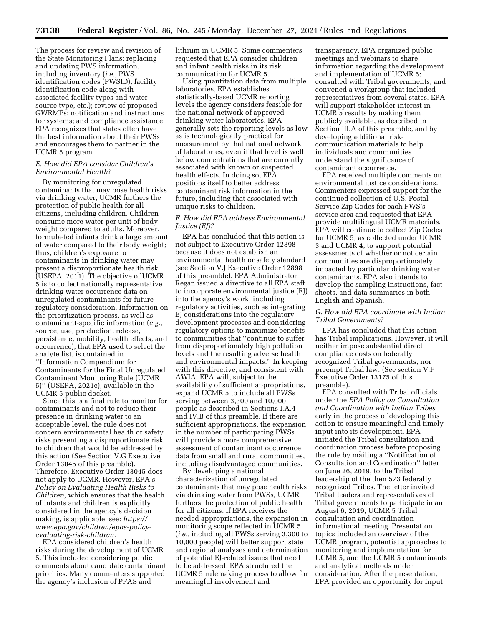The process for review and revision of the State Monitoring Plans; replacing and updating PWS information, including inventory (*i.e.,* PWS identification codes (PWSID), facility identification code along with associated facility types and water source type, etc.); review of proposed GWRMPs; notification and instructions for systems; and compliance assistance. EPA recognizes that states often have the best information about their PWSs and encourages them to partner in the UCMR 5 program.

### *E. How did EPA consider Children's Environmental Health?*

By monitoring for unregulated contaminants that may pose health risks via drinking water, UCMR furthers the protection of public health for all citizens, including children. Children consume more water per unit of body weight compared to adults. Moreover, formula-fed infants drink a large amount of water compared to their body weight; thus, children's exposure to contaminants in drinking water may present a disproportionate health risk (USEPA, 2011). The objective of UCMR 5 is to collect nationally representative drinking water occurrence data on unregulated contaminants for future regulatory consideration. Information on the prioritization process, as well as contaminant-specific information (*e.g.,*  source, use, production, release, persistence, mobility, health effects, and occurrence), that EPA used to select the analyte list, is contained in ''Information Compendium for Contaminants for the Final Unregulated Contaminant Monitoring Rule (UCMR 5)'' (USEPA, 2021e), available in the UCMR 5 public docket.

Since this is a final rule to monitor for contaminants and not to reduce their presence in drinking water to an acceptable level, the rule does not concern environmental health or safety risks presenting a disproportionate risk to children that would be addressed by this action (See Section V.G Executive Order 13045 of this preamble). Therefore, Executive Order 13045 does not apply to UCMR. However, EPA's *Policy on Evaluating Health Risks to Children,* which ensures that the health of infants and children is explicitly considered in the agency's decision making, is applicable, see: *[https://](https://www.epa.gov/children/epas-policy-evaluating-risk-children) [www.epa.gov/children/epas-policy](https://www.epa.gov/children/epas-policy-evaluating-risk-children)[evaluating-risk-children.](https://www.epa.gov/children/epas-policy-evaluating-risk-children)* 

EPA considered children's health risks during the development of UCMR 5. This included considering public comments about candidate contaminant priorities. Many commenters supported the agency's inclusion of PFAS and

lithium in UCMR 5. Some commenters requested that EPA consider children and infant health risks in its risk communication for UCMR 5.

Using quantitation data from multiple laboratories, EPA establishes statistically-based UCMR reporting levels the agency considers feasible for the national network of approved drinking water laboratories. EPA generally sets the reporting levels as low as is technologically practical for measurement by that national network of laboratories, even if that level is well below concentrations that are currently associated with known or suspected health effects. In doing so, EPA positions itself to better address contaminant risk information in the future, including that associated with unique risks to children.

### *F. How did EPA address Environmental Justice (EJ)?*

EPA has concluded that this action is not subject to Executive Order 12898 because it does not establish an environmental health or safety standard (see Section V.J Executive Order 12898 of this preamble). EPA Administrator Regan issued a directive to all EPA staff to incorporate environmental justice (EJ) into the agency's work, including regulatory activities, such as integrating EJ considerations into the regulatory development processes and considering regulatory options to maximize benefits to communities that ''continue to suffer from disproportionately high pollution levels and the resulting adverse health and environmental impacts.'' In keeping with this directive, and consistent with AWIA, EPA will, subject to the availability of sufficient appropriations, expand UCMR 5 to include all PWSs serving between 3,300 and 10,000 people as described in Sections I.A.4 and IV.B of this preamble. If there are sufficient appropriations, the expansion in the number of participating PWSs will provide a more comprehensive assessment of contaminant occurrence data from small and rural communities, including disadvantaged communities.

By developing a national characterization of unregulated contaminants that may pose health risks via drinking water from PWSs, UCMR furthers the protection of public health for all citizens. If EPA receives the needed appropriations, the expansion in monitoring scope reflected in UCMR 5 (*i.e.,* including all PWSs serving 3,300 to 10,000 people) will better support state and regional analyses and determination of potential EJ-related issues that need to be addressed. EPA structured the UCMR 5 rulemaking process to allow for meaningful involvement and

transparency. EPA organized public meetings and webinars to share information regarding the development and implementation of UCMR 5; consulted with Tribal governments; and convened a workgroup that included representatives from several states. EPA will support stakeholder interest in UCMR 5 results by making them publicly available, as described in Section III.A of this preamble, and by developing additional riskcommunication materials to help individuals and communities understand the significance of contaminant occurrence.

EPA received multiple comments on environmental justice considerations. Commenters expressed support for the continued collection of U.S. Postal Service Zip Codes for each PWS's service area and requested that EPA provide multilingual UCMR materials. EPA will continue to collect Zip Codes for UCMR 5, as collected under UCMR 3 and UCMR 4, to support potential assessments of whether or not certain communities are disproportionately impacted by particular drinking water contaminants. EPA also intends to develop the sampling instructions, fact sheets, and data summaries in both English and Spanish.

### *G. How did EPA coordinate with Indian Tribal Governments?*

EPA has concluded that this action has Tribal implications. However, it will neither impose substantial direct compliance costs on federally recognized Tribal governments, nor preempt Tribal law. (See section V.F Executive Order 13175 of this preamble).

EPA consulted with Tribal officials under the *EPA Policy on Consultation and Coordination with Indian Tribes*  early in the process of developing this action to ensure meaningful and timely input into its development. EPA initiated the Tribal consultation and coordination process before proposing the rule by mailing a ''Notification of Consultation and Coordination'' letter on June 26, 2019, to the Tribal leadership of the then 573 federally recognized Tribes. The letter invited Tribal leaders and representatives of Tribal governments to participate in an August 6, 2019, UCMR 5 Tribal consultation and coordination informational meeting. Presentation topics included an overview of the UCMR program, potential approaches to monitoring and implementation for UCMR 5, and the UCMR 5 contaminants and analytical methods under consideration. After the presentation, EPA provided an opportunity for input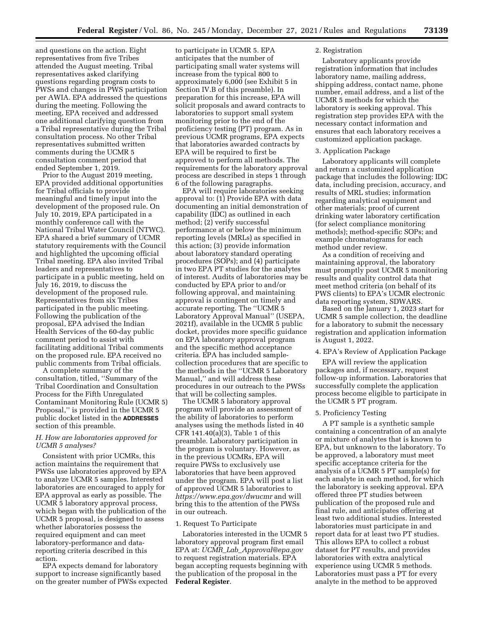and questions on the action. Eight representatives from five Tribes attended the August meeting. Tribal representatives asked clarifying questions regarding program costs to PWSs and changes in PWS participation per AWIA. EPA addressed the questions during the meeting. Following the meeting, EPA received and addressed one additional clarifying question from a Tribal representative during the Tribal consultation process. No other Tribal representatives submitted written comments during the UCMR 5 consultation comment period that ended September 1, 2019.

Prior to the August 2019 meeting, EPA provided additional opportunities for Tribal officials to provide meaningful and timely input into the development of the proposed rule. On July 10, 2019, EPA participated in a monthly conference call with the National Tribal Water Council (NTWC). EPA shared a brief summary of UCMR statutory requirements with the Council and highlighted the upcoming official Tribal meeting. EPA also invited Tribal leaders and representatives to participate in a public meeting, held on July 16, 2019, to discuss the development of the proposed rule. Representatives from six Tribes participated in the public meeting. Following the publication of the proposal, EPA advised the Indian Health Services of the 60-day public comment period to assist with facilitating additional Tribal comments on the proposed rule. EPA received no public comments from Tribal officials.

A complete summary of the consultation, titled, ''Summary of the Tribal Coordination and Consultation Process for the Fifth Unregulated Contaminant Monitoring Rule (UCMR 5) Proposal,'' is provided in the UCMR 5 public docket listed in the **ADDRESSES** section of this preamble.

### *H. How are laboratories approved for UCMR 5 analyses?*

Consistent with prior UCMRs, this action maintains the requirement that PWSs use laboratories approved by EPA to analyze UCMR 5 samples. Interested laboratories are encouraged to apply for EPA approval as early as possible. The UCMR 5 laboratory approval process, which began with the publication of the UCMR 5 proposal, is designed to assess whether laboratories possess the required equipment and can meet laboratory-performance and datareporting criteria described in this action.

EPA expects demand for laboratory support to increase significantly based on the greater number of PWSs expected

to participate in UCMR 5. EPA anticipates that the number of participating small water systems will increase from the typical 800 to approximately 6,000 (see Exhibit 5 in Section IV.B of this preamble). In preparation for this increase, EPA will solicit proposals and award contracts to laboratories to support small system monitoring prior to the end of the proficiency testing (PT) program. As in previous UCMR programs, EPA expects that laboratories awarded contracts by EPA will be required to first be approved to perform all methods. The requirements for the laboratory approval process are described in steps 1 through 6 of the following paragraphs.

EPA will require laboratories seeking approval to: (1) Provide EPA with data documenting an initial demonstration of capability (IDC) as outlined in each method; (2) verify successful performance at or below the minimum reporting levels (MRLs) as specified in this action; (3) provide information about laboratory standard operating procedures (SOPs); and (4) participate in two EPA PT studies for the analytes of interest. Audits of laboratories may be conducted by EPA prior to and/or following approval, and maintaining approval is contingent on timely and accurate reporting. The ''UCMR 5 Laboratory Approval Manual'' (USEPA, 2021f), available in the UCMR 5 public docket, provides more specific guidance on EPA laboratory approval program and the specific method acceptance criteria. EPA has included samplecollection procedures that are specific to the methods in the ''UCMR 5 Laboratory Manual,'' and will address these procedures in our outreach to the PWSs that will be collecting samples.

The UCMR 5 laboratory approval program will provide an assessment of the ability of laboratories to perform analyses using the methods listed in 40 CFR 141.40(a)(3), Table 1 of this preamble. Laboratory participation in the program is voluntary. However, as in the previous UCMRs, EPA will require PWSs to exclusively use laboratories that have been approved under the program. EPA will post a list of approved UCMR 5 laboratories to *<https://www.epa.gov/dwucmr>*and will bring this to the attention of the PWSs in our outreach.

#### 1. Request To Participate

Laboratories interested in the UCMR 5 laboratory approval program first email EPA at: *UCMR*\_*Lab*\_*[Approval@epa.gov](mailto:UCMR_Lab_Approval@epa.gov)*  to request registration materials. EPA began accepting requests beginning with the publication of the proposal in the **Federal Register**.

#### 2. Registration

Laboratory applicants provide registration information that includes laboratory name, mailing address, shipping address, contact name, phone number, email address, and a list of the UCMR 5 methods for which the laboratory is seeking approval. This registration step provides EPA with the necessary contact information and ensures that each laboratory receives a customized application package.

#### 3. Application Package

Laboratory applicants will complete and return a customized application package that includes the following: IDC data, including precision, accuracy, and results of MRL studies; information regarding analytical equipment and other materials; proof of current drinking water laboratory certification (for select compliance monitoring methods); method-specific SOPs; and example chromatograms for each method under review.

As a condition of receiving and maintaining approval, the laboratory must promptly post UCMR 5 monitoring results and quality control data that meet method criteria (on behalf of its PWS clients) to EPA's UCMR electronic data reporting system, SDWARS.

Based on the January 1, 2023 start for UCMR 5 sample collection, the deadline for a laboratory to submit the necessary registration and application information is August 1, 2022.

### 4. EPA's Review of Application Package

EPA will review the application packages and, if necessary, request follow-up information. Laboratories that successfully complete the application process become eligible to participate in the UCMR 5 PT program.

#### 5. Proficiency Testing

A PT sample is a synthetic sample containing a concentration of an analyte or mixture of analytes that is known to EPA, but unknown to the laboratory. To be approved, a laboratory must meet specific acceptance criteria for the analysis of a UCMR 5 PT sample(s) for each analyte in each method, for which the laboratory is seeking approval. EPA offered three PT studies between publication of the proposed rule and final rule, and anticipates offering at least two additional studies. Interested laboratories must participate in and report data for at least two PT studies. This allows EPA to collect a robust dataset for PT results, and provides laboratories with extra analytical experience using UCMR 5 methods. Laboratories must pass a PT for every analyte in the method to be approved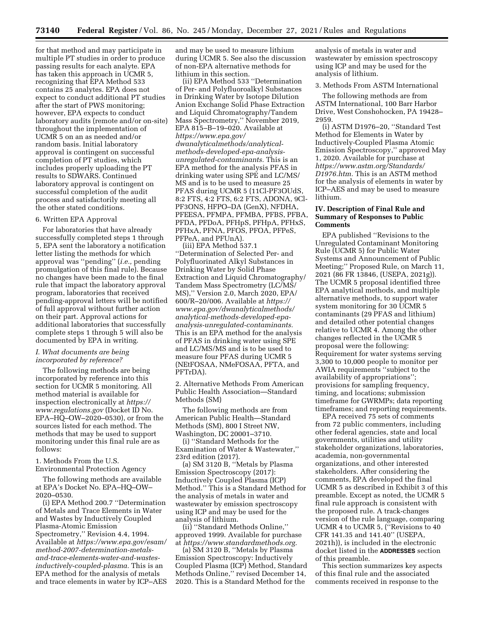for that method and may participate in multiple PT studies in order to produce passing results for each analyte. EPA has taken this approach in UCMR 5, recognizing that EPA Method 533 contains 25 analytes. EPA does not expect to conduct additional PT studies after the start of PWS monitoring; however, EPA expects to conduct laboratory audits (remote and/or on-site) throughout the implementation of UCMR 5 on an as needed and/or random basis. Initial laboratory approval is contingent on successful completion of PT studies, which includes properly uploading the PT results to SDWARS. Continued laboratory approval is contingent on successful completion of the audit process and satisfactorily meeting all the other stated conditions.

#### 6. Written EPA Approval

For laboratories that have already successfully completed steps 1 through 5, EPA sent the laboratory a notification letter listing the methods for which approval was ''pending'' (*i.e.,* pending promulgation of this final rule). Because no changes have been made to the final rule that impact the laboratory approval program, laboratories that received pending-approval letters will be notified of full approval without further action on their part. Approval actions for additional laboratories that successfully complete steps 1 through 5 will also be documented by EPA in writing.

## *I. What documents are being incorporated by reference?*

The following methods are being incorporated by reference into this section for UCMR 5 monitoring. All method material is available for inspection electronically at *[https://](https://www.regulations.gov) [www.regulations.gov](https://www.regulations.gov)* (Docket ID No. EPA–HQ–OW–2020–0530), or from the sources listed for each method. The methods that may be used to support monitoring under this final rule are as follows:

1. Methods From the U.S.

Environmental Protection Agency

The following methods are available at EPA's Docket No. EPA–HQ–OW– 2020–0530.

(i) EPA Method 200.7 ''Determination of Metals and Trace Elements in Water and Wastes by Inductively Coupled Plasma-Atomic Emission Spectrometry,'' Revision 4.4, 1994. Available at *[https://www.epa.gov/esam/](https://www.epa.gov/esam/method-2007-determination-metals-and-trace-elements-water-and-wastes-inductively-coupled-plasma)  [method-2007-determination-metals](https://www.epa.gov/esam/method-2007-determination-metals-and-trace-elements-water-and-wastes-inductively-coupled-plasma)[and-trace-elements-water-and-wastes](https://www.epa.gov/esam/method-2007-determination-metals-and-trace-elements-water-and-wastes-inductively-coupled-plasma)[inductively-coupled-plasma.](https://www.epa.gov/esam/method-2007-determination-metals-and-trace-elements-water-and-wastes-inductively-coupled-plasma)* This is an

EPA method for the analysis of metals and trace elements in water by ICP–AES and may be used to measure lithium during UCMR 5. See also the discussion of non-EPA alternative methods for lithium in this section.

(ii) EPA Method 533 ''Determination of Per- and Polyfluoroalkyl Substances in Drinking Water by Isotope Dilution Anion Exchange Solid Phase Extraction and Liquid Chromatography/Tandem Mass Spectrometry,'' November 2019, EPA 815–B–19–020. Available at *[https://www.epa.gov/](https://www.epa.gov/dwanalyticalmethods/analytical-methods-developed-epa-analysis-unregulated-contaminants)  [dwanalyticalmethods/analytical](https://www.epa.gov/dwanalyticalmethods/analytical-methods-developed-epa-analysis-unregulated-contaminants)[methods-developed-epa-analysis](https://www.epa.gov/dwanalyticalmethods/analytical-methods-developed-epa-analysis-unregulated-contaminants)[unregulated-contaminants.](https://www.epa.gov/dwanalyticalmethods/analytical-methods-developed-epa-analysis-unregulated-contaminants)* This is an EPA method for the analysis PFAS in drinking water using SPE and LC/MS/ MS and is to be used to measure 25 PFAS during UCMR 5 (11Cl-PF3OUdS, 8:2 FTS, 4:2 FTS, 6:2 FTS, ADONA, 9Cl-PF3ONS, HFPO–DA (GenX), NFDHA, PFEESA, PFMPA, PFMBA, PFBS, PFBA, PFDA, PFDoA, PFHpS, PFHpA, PFHxS, PFHxA, PFNA, PFOS, PFOA, PFPeS, PFPeA, and PFUnA).

(iii) EPA Method 537.1 ''Determination of Selected Per- and Polyfluorinated Alkyl Substances in Drinking Water by Solid Phase Extraction and Liquid Chromatography/ Tandem Mass Spectrometry (LC/MS/ MS),'' Version 2.0, March 2020, EPA/ 600/R–20/006. Available at *[https://](https://www.epa.gov/dwanalyticalmethods/analytical-methods-developed-epa-analysis-unregulated-contaminants) [www.epa.gov/dwanalyticalmethods/](https://www.epa.gov/dwanalyticalmethods/analytical-methods-developed-epa-analysis-unregulated-contaminants)  [analytical-methods-developed-epa](https://www.epa.gov/dwanalyticalmethods/analytical-methods-developed-epa-analysis-unregulated-contaminants)[analysis-unregulated-contaminants.](https://www.epa.gov/dwanalyticalmethods/analytical-methods-developed-epa-analysis-unregulated-contaminants)*  This is an EPA method for the analysis of PFAS in drinking water using SPE and LC/MS/MS and is to be used to measure four PFAS during UCMR 5 (NEtFOSAA, NMeFOSAA, PFTA, and PFTrDA).

2. Alternative Methods From American Public Health Association—Standard Methods (SM)

The following methods are from American Public Health—Standard Methods (SM), 800 I Street NW, Washington, DC 20001–3710.

(i) ''Standard Methods for the Examination of Water & Wastewater,'' 23rd edition (2017).

(a) SM 3120 B, ''Metals by Plasma Emission Spectroscopy (2017): Inductively Coupled Plasma (ICP) Method.'' This is a Standard Method for the analysis of metals in water and wastewater by emission spectroscopy using ICP and may be used for the analysis of lithium.

(ii) ''Standard Methods Online,'' approved 1999. Available for purchase at *[https://www.standardmethods.org.](https://www.standardmethods.org)* 

(a) SM 3120 B, ''Metals by Plasma Emission Spectroscopy: Inductively Coupled Plasma (ICP) Method, Standard Methods Online,'' revised December 14, 2020. This is a Standard Method for the

analysis of metals in water and wastewater by emission spectroscopy using ICP and may be used for the analysis of lithium.

3. Methods From ASTM International

The following methods are from ASTM International, 100 Barr Harbor Drive, West Conshohocken, PA 19428– 2959.

(i) ASTM D1976–20, ''Standard Test Method for Elements in Water by Inductively-Coupled Plasma Atomic Emission Spectroscopy,'' approved May 1, 2020. Available for purchase at *[https://www.astm.org/Standards/](https://www.astm.org/Standards/D1976.htm)  [D1976.htm.](https://www.astm.org/Standards/D1976.htm)* This is an ASTM method for the analysis of elements in water by ICP–AES and may be used to measure lithium.

### **IV. Description of Final Rule and Summary of Responses to Public Comments**

EPA published ''Revisions to the Unregulated Contaminant Monitoring Rule (UCMR 5) for Public Water Systems and Announcement of Public Meeting;'' Proposed Rule, on March 11, 2021 (86 FR 13846, (USEPA, 2021g)). The UCMR 5 proposal identified three EPA analytical methods, and multiple alternative methods, to support water system monitoring for 30 UCMR 5 contaminants (29 PFAS and lithium) and detailed other potential changes relative to UCMR 4. Among the other changes reflected in the UCMR 5 proposal were the following: Requirement for water systems serving 3,300 to 10,000 people to monitor per AWIA requirements ''subject to the availability of appropriations''; provisions for sampling frequency, timing, and locations; submission timeframe for GWRMPs; data reporting timeframes; and reporting requirements.

EPA received 75 sets of comments from 72 public commenters, including other federal agencies, state and local governments, utilities and utility stakeholder organizations, laboratories, academia, non-governmental organizations, and other interested stakeholders. After considering the comments, EPA developed the final UCMR 5 as described in Exhibit 3 of this preamble. Except as noted, the UCMR 5 final rule approach is consistent with the proposed rule. A track-changes version of the rule language, comparing UCMR 4 to UCMR 5, (''Revisions to 40 CFR 141.35 and 141.40'' (USEPA, 2021h)), is included in the electronic docket listed in the **ADDRESSES** section of this preamble.

This section summarizes key aspects of this final rule and the associated comments received in response to the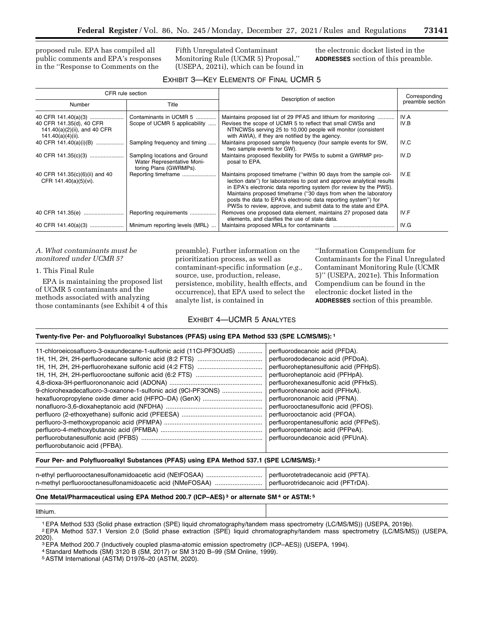proposed rule. EPA has compiled all public comments and EPA's responses in the ''Response to Comments on the

Fifth Unregulated Contaminant Monitoring Rule (UCMR 5) Proposal,'' (USEPA, 2021i), which can be found in the electronic docket listed in the **ADDRESSES** section of this preamble.

| EXHIBIT 3-KEY ELEMENTS OF FINAL UCMR 5 |
|----------------------------------------|
|----------------------------------------|

| CFR rule section                                                                                     |                                                                                       | Description of section                                                                                                                                                                                                                                                                                                                                                                                                    | Corresponding    |  |
|------------------------------------------------------------------------------------------------------|---------------------------------------------------------------------------------------|---------------------------------------------------------------------------------------------------------------------------------------------------------------------------------------------------------------------------------------------------------------------------------------------------------------------------------------------------------------------------------------------------------------------------|------------------|--|
| Number                                                                                               | Title                                                                                 |                                                                                                                                                                                                                                                                                                                                                                                                                           | preamble section |  |
| 40 CFR 141.40(a)(3)<br>40 CFR 141.35(d), 40 CFR<br>141.40(a)(2)(ii), and 40 CFR<br>141.40(a)(4)(ii). | Contaminants in UCMR 5<br>Scope of UCMR 5 applicability                               | Maintains proposed list of 29 PFAS and lithium for monitoring<br>Revises the scope of UCMR 5 to reflect that small CWSs and<br>NTNCWSs serving 25 to 10,000 people will monitor (consistent<br>with AWIA), if they are notified by the agency.                                                                                                                                                                            | IV.A<br>IV.B     |  |
| 40 CFR 141.40(a)(i)(B)                                                                               | Sampling frequency and timing                                                         | Maintains proposed sample frequency (four sample events for SW,<br>two sample events for GW).                                                                                                                                                                                                                                                                                                                             | IV.C             |  |
| 40 CFR 141.35(c)(3)                                                                                  | Sampling locations and Ground<br>Water Representative Moni-<br>toring Plans (GWRMPs). | Maintains proposed flexibility for PWSs to submit a GWRMP pro-<br>posal to EPA.                                                                                                                                                                                                                                                                                                                                           | IV.D             |  |
| 40 CFR 141.35(c)(6)(ii) and 40<br>CFR 141.40(a)(5)(vi).                                              | Reporting timeframe                                                                   | Maintains proposed timeframe ("within 90 days from the sample col-<br>lection date") for laboratories to post and approve analytical results<br>in EPA's electronic data reporting system (for review by the PWS).<br>Maintains proposed timeframe ("30 days from when the laboratory<br>posts the data to EPA's electronic data reporting system") for<br>PWSs to review, approve, and submit data to the state and EPA. | IV.E             |  |
| 40 CFR 141.35(e)                                                                                     | Reporting requirements                                                                | Removes one proposed data element, maintains 27 proposed data<br>elements, and clarifies the use of state data.                                                                                                                                                                                                                                                                                                           | IV.F             |  |
| 40 CFR 141.40(a)(3)                                                                                  | Minimum reporting levels (MRL)                                                        |                                                                                                                                                                                                                                                                                                                                                                                                                           | IV.G             |  |

#### *A. What contaminants must be monitored under UCMR 5?*

#### 1. This Final Rule

EPA is maintaining the proposed list of UCMR 5 contaminants and the methods associated with analyzing those contaminants (see Exhibit 4 of this preamble). Further information on the prioritization process, as well as contaminant-specific information (*e.g.,*  source, use, production, release, persistence, mobility, health effects, and occurrence), that EPA used to select the analyte list, is contained in

''Information Compendium for Contaminants for the Final Unregulated Contaminant Monitoring Rule (UCMR 5)'' (USEPA, 2021e). This Information Compendium can be found in the electronic docket listed in the **ADDRESSES** section of this preamble.

#### EXHIBIT 4—UCMR 5 ANALYTES

#### **Twenty-five Per- and Polyfluoroalkyl Substances (PFAS) using EPA Method 533 (SPE LC/MS/MS): 1**

| 11-chloroeicosafluoro-3-oxaundecane-1-sulfonic acid (11Cl-PF3OUdS) | perfluorodecanoic acid (PFDA).         |
|--------------------------------------------------------------------|----------------------------------------|
|                                                                    | perfluorododecanoic acid (PFDoA).      |
|                                                                    | perfluoroheptanesulfonic acid (PFHpS). |
|                                                                    | perfluoroheptanoic acid (PFHpA).       |
|                                                                    | perfluorohexanesulfonic acid (PFHxS).  |
| 9-chlorohexadecafluoro-3-oxanone-1-sulfonic acid (9CI-PF3ONS)      | perfluorohexanoic acid (PFHxA).        |
| hexafluoropropylene oxide dimer acid (HFPO-DA) (GenX)              | perfluorononanoic acid (PFNA).         |
|                                                                    | perfluorooctanesulfonic acid (PFOS).   |
|                                                                    | perfluorooctanoic acid (PFOA).         |
|                                                                    | perfluoropentanesulfonic acid (PFPeS). |
|                                                                    | perfluoropentanoic acid (PFPeA).       |
|                                                                    | perfluoroundecanoic acid (PFUnA).      |
| perfluorobutanoic acid (PFBA).                                     |                                        |

#### **Four Per- and Polyfluoroalkyl Substances (PFAS) using EPA Method 537.1 (SPE LC/MS/MS): 2**

# **One Metal/Pharmaceutical using EPA Method 200.7 (ICP–AES) 3 or alternate SM 4 or ASTM: 5**

lithium.

1EPA Method 533 (Solid phase extraction (SPE) liquid chromatography/tandem mass spectrometry (LC/MS/MS)) (USEPA, 2019b).

- <sup>2</sup>EPA Method 537.1 Version 2.0 (Solid phase extraction (SPE) liquid chromatography/tandem mass spectrometry (LC/MS/MS)) (USEPA,<br>2020).
	- 3EPA Method 200.7 (Inductively coupled plasma-atomic emission spectrometry (ICP–AES)) (USEPA, 1994).

4Standard Methods (SM) 3120 B (SM, 2017) or SM 3120 B–99 (SM Online, 1999).

5ASTM International (ASTM) D1976–20 (ASTM, 2020).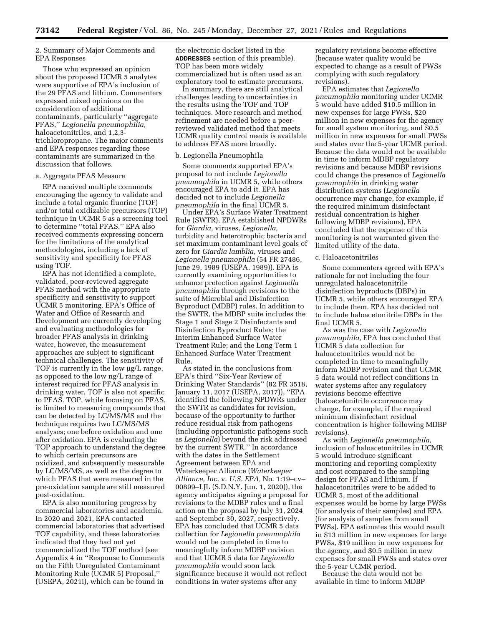### 2. Summary of Major Comments and EPA Responses

Those who expressed an opinion about the proposed UCMR 5 analytes were supportive of EPA's inclusion of the 29 PFAS and lithium. Commenters expressed mixed opinions on the consideration of additional contaminants, particularly ''aggregate PFAS,'' *Legionella pneumophilia,*  haloacetonitriles, and 1,2,3 trichloropropane. The major comments and EPA responses regarding these contaminants are summarized in the discussion that follows.

# a. Aggregate PFAS Measure

EPA received multiple comments encouraging the agency to validate and include a total organic fluorine (TOF) and/or total oxidizable precursors (TOP) technique in UCMR 5 as a screening tool to determine ''total PFAS.'' EPA also received comments expressing concern for the limitations of the analytical methodologies, including a lack of sensitivity and specificity for PFAS using TOF.

EPA has not identified a complete, validated, peer-reviewed aggregate PFAS method with the appropriate specificity and sensitivity to support UCMR 5 monitoring. EPA's Office of Water and Office of Research and Development are currently developing and evaluating methodologies for broader PFAS analysis in drinking water, however, the measurement approaches are subject to significant technical challenges. The sensitivity of TOF is currently in the low  $\mu$ g/L range, as opposed to the low ng/L range of interest required for PFAS analysis in drinking water. TOF is also not specific to PFAS. TOP, while focusing on PFAS, is limited to measuring compounds that can be detected by LC/MS/MS and the technique requires two LC/MS/MS analyses; one before oxidation and one after oxidation. EPA is evaluating the TOP approach to understand the degree to which certain precursors are oxidized, and subsequently measurable by LC/MS/MS, as well as the degree to which PFAS that were measured in the pre-oxidation sample are still measured post-oxidation.

EPA is also monitoring progress by commercial laboratories and academia. In 2020 and 2021, EPA contacted commercial laboratories that advertised TOF capability, and these laboratories indicated that they had not yet commercialized the TOF method (see Appendix 4 in ''Response to Comments on the Fifth Unregulated Contaminant Monitoring Rule (UCMR 5) Proposal,'' (USEPA, 2021i), which can be found in

the electronic docket listed in the **ADDRESSES** section of this preamble). TOP has been more widely commercialized but is often used as an exploratory tool to estimate precursors.

In summary, there are still analytical challenges leading to uncertainties in the results using the TOF and TOP techniques. More research and method refinement are needed before a peerreviewed validated method that meets UCMR quality control needs is available to address PFAS more broadly.

#### b. Legionella Pneumophila

Some comments supported EPA's proposal to not include *Legionella pneumophila* in UCMR 5, while others encouraged EPA to add it. EPA has decided not to include *Legionella pneumophila* in the final UCMR 5.

Under EPA's Surface Water Treatment Rule (SWTR), EPA established NPDWRs for *Giardia,* viruses, *Legionella,*  turbidity and heterotrophic bacteria and set maximum contaminant level goals of zero for *Giardia lamblia,* viruses and *Legionella pneumophila* (54 FR 27486, June 29, 1989 (USEPA, 1989)). EPA is currently examining opportunities to enhance protection against *Legionella pneumophila* through revisions to the suite of Microbial and Disinfection Byproduct (MDBP) rules. In addition to the SWTR, the MDBP suite includes the Stage 1 and Stage 2 Disinfectants and Disinfection Byproduct Rules; the Interim Enhanced Surface Water Treatment Rule; and the Long Term 1 Enhanced Surface Water Treatment Rule.

As stated in the conclusions from EPA's third ''Six-Year Review of Drinking Water Standards'' (82 FR 3518, January 11, 2017 (USEPA, 2017)), ''EPA identified the following NPDWRs under the SWTR as candidates for revision, because of the opportunity to further reduce residual risk from pathogens (including opportunistic pathogens such as *Legionella*) beyond the risk addressed by the current SWTR.'' In accordance with the dates in the Settlement Agreement between EPA and Waterkeeper Alliance (*Waterkeeper Alliance, Inc.* v. *U.S. EPA,* No. 1:19–cv– 00899–LJL (S.D.N.Y. Jun. 1, 2020)), the agency anticipates signing a proposal for revisions to the MDBP rules and a final action on the proposal by July 31, 2024 and September 30, 2027, respectively. EPA has concluded that UCMR 5 data collection for *Legionella pneumophila*  would not be completed in time to meaningfully inform MDBP revision and that UCMR 5 data for *Legionella pneumophila* would soon lack significance because it would not reflect conditions in water systems after any

regulatory revisions become effective (because water quality would be expected to change as a result of PWSs complying with such regulatory revisions).

EPA estimates that *Legionella pneumophila* monitoring under UCMR 5 would have added \$10.5 million in new expenses for large PWSs, \$20 million in new expenses for the agency for small system monitoring, and \$0.5 million in new expenses for small PWSs and states over the 5-year UCMR period. Because the data would not be available in time to inform MDBP regulatory revisions and because MDBP revisions could change the presence of *Legionella pneumophila* in drinking water distribution systems (*Legionella*  occurrence may change, for example, if the required minimum disinfectant residual concentration is higher following MDBP revisions), EPA concluded that the expense of this monitoring is not warranted given the limited utility of the data.

### c. Haloacetonitriles

Some commenters agreed with EPA's rationale for not including the four unregulated haloacetonitrile disinfection byproducts (DBPs) in UCMR 5, while others encouraged EPA to include them. EPA has decided not to include haloacetonitrile DBPs in the final UCMR 5.

As was the case with *Legionella pneumophila,* EPA has concluded that UCMR 5 data collection for haloacetonitriles would not be completed in time to meaningfully inform MDBP revision and that UCMR 5 data would not reflect conditions in water systems after any regulatory revisions become effective (haloacetonitrile occurrence may change, for example, if the required minimum disinfectant residual concentration is higher following MDBP revisions).

As with *Legionella pneumophila,*  inclusion of haloacetonitriles in UCMR 5 would introduce significant monitoring and reporting complexity and cost compared to the sampling design for PFAS and lithium. If haloacetonitriles were to be added to UCMR 5, most of the additional expenses would be borne by large PWSs (for analysis of their samples) and EPA (for analysis of samples from small PWSs). EPA estimates this would result in \$13 million in new expenses for large PWSs, \$19 million in new expenses for the agency, and \$0.5 million in new expenses for small PWSs and states over the 5-year UCMR period.

Because the data would not be available in time to inform MDBP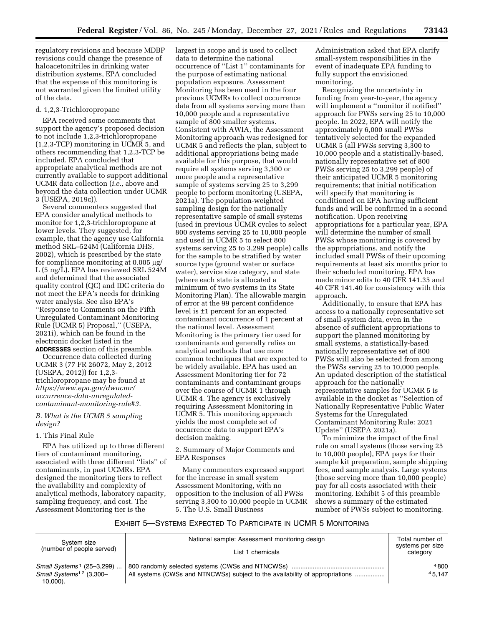regulatory revisions and because MDBP revisions could change the presence of haloacetonitriles in drinking water distribution systems, EPA concluded that the expense of this monitoring is not warranted given the limited utility of the data.

#### d. 1,2,3-Trichloropropane

EPA received some comments that support the agency's proposed decision to not include 1,2,3-trichloropropane (1,2,3-TCP) monitoring in UCMR 5, and others recommending that 1,2,3-TCP be included. EPA concluded that appropriate analytical methods are not currently available to support additional UCMR data collection (*i.e.,* above and beyond the data collection under UCMR 3 (USEPA, 2019c)).

Several commenters suggested that EPA consider analytical methods to monitor for 1,2,3-trichloropropane at lower levels. They suggested, for example, that the agency use California method SRL–524M (California DHS, 2002), which is prescribed by the state for compliance monitoring at  $0.005 \mu$ g/ L (5 ng/L). EPA has reviewed SRL 524M and determined that the associated quality control (QC) and IDC criteria do not meet the EPA's needs for drinking water analysis. See also EPA's ''Response to Comments on the Fifth Unregulated Contaminant Monitoring Rule (UCMR 5) Proposal,'' (USEPA, 2021i), which can be found in the electronic docket listed in the **ADDRESSES** section of this preamble.

Occurrence data collected during UCMR 3 (77 FR 26072, May 2, 2012 (USEPA, 2012)) for 1,2,3 trichloropropane may be found at *[https://www.epa.gov/dwucmr/](https://www.epa.gov/dwucmr/occurrence-data-unregulated-contaminant-monitoring-rule#3) [occurrence-data-unregulated](https://www.epa.gov/dwucmr/occurrence-data-unregulated-contaminant-monitoring-rule#3)[contaminant-monitoring-rule#3.](https://www.epa.gov/dwucmr/occurrence-data-unregulated-contaminant-monitoring-rule#3)* 

#### *B. What is the UCMR 5 sampling design?*

#### 1. This Final Rule

EPA has utilized up to three different tiers of contaminant monitoring, associated with three different ''lists'' of contaminants, in past UCMRs. EPA designed the monitoring tiers to reflect the availability and complexity of analytical methods, laboratory capacity, sampling frequency, and cost. The Assessment Monitoring tier is the

largest in scope and is used to collect data to determine the national occurrence of ''List 1'' contaminants for the purpose of estimating national population exposure. Assessment Monitoring has been used in the four previous UCMRs to collect occurrence data from all systems serving more than 10,000 people and a representative sample of 800 smaller systems. Consistent with AWIA, the Assessment Monitoring approach was redesigned for UCMR 5 and reflects the plan, subject to additional appropriations being made available for this purpose, that would require all systems serving 3,300 or more people and a representative sample of systems serving 25 to 3,299 people to perform monitoring (USEPA, 2021a). The population-weighted sampling design for the nationally representative sample of small systems (used in previous UCMR cycles to select 800 systems serving 25 to 10,000 people and used in UCMR 5 to select 800 systems serving 25 to 3,299 people) calls for the sample to be stratified by water source type (ground water or surface water), service size category, and state (where each state is allocated a minimum of two systems in its State Monitoring Plan). The allowable margin of error at the 99 percent confidence level is ±1 percent for an expected contaminant occurrence of 1 percent at the national level. Assessment Monitoring is the primary tier used for contaminants and generally relies on analytical methods that use more common techniques that are expected to be widely available. EPA has used an Assessment Monitoring tier for 72 contaminants and contaminant groups over the course of UCMR 1 through UCMR 4. The agency is exclusively requiring Assessment Monitoring in UCMR 5. This monitoring approach yields the most complete set of occurrence data to support EPA's decision making.

2. Summary of Major Comments and EPA Responses

Many commenters expressed support for the increase in small system Assessment Monitoring, with no opposition to the inclusion of all PWSs serving 3,300 to 10,000 people in UCMR 5. The U.S. Small Business

Administration asked that EPA clarify small-system responsibilities in the event of inadequate EPA funding to fully support the envisioned monitoring.

Recognizing the uncertainty in funding from year-to-year, the agency will implement a ''monitor if notified'' approach for PWSs serving 25 to 10,000 people. In 2022, EPA will notify the approximately 6,000 small PWSs tentatively selected for the expanded UCMR 5 (all PWSs serving 3,300 to 10,000 people and a statistically-based, nationally representative set of 800 PWSs serving 25 to 3,299 people) of their anticipated UCMR 5 monitoring requirements; that initial notification will specify that monitoring is conditioned on EPA having sufficient funds and will be confirmed in a second notification. Upon receiving appropriations for a particular year, EPA will determine the number of small PWSs whose monitoring is covered by the appropriations, and notify the included small PWSs of their upcoming requirements at least six months prior to their scheduled monitoring. EPA has made minor edits to 40 CFR 141.35 and 40 CFR 141.40 for consistency with this approach.

Additionally, to ensure that EPA has access to a nationally representative set of small-system data, even in the absence of sufficient appropriations to support the planned monitoring by small systems, a statistically-based nationally representative set of 800 PWSs will also be selected from among the PWSs serving 25 to 10,000 people. An updated description of the statistical approach for the nationally representative samples for UCMR 5 is available in the docket as ''Selection of Nationally Representative Public Water Systems for the Unregulated Contaminant Monitoring Rule: 2021 Update'' (USEPA 2021a).

To minimize the impact of the final rule on small systems (those serving 25 to 10,000 people), EPA pays for their sample kit preparation, sample shipping fees, and sample analysis. Large systems (those serving more than 10,000 people) pay for all costs associated with their monitoring. Exhibit 5 of this preamble shows a summary of the estimated number of PWSs subject to monitoring.

#### EXHIBIT 5—SYSTEMS EXPECTED TO PARTICIPATE IN UCMR 5 MONITORING

| System size<br>(number of people served)                                                    | National sample: Assessment monitoring design<br>List 1 chemicals            | Total number of<br>systems per size<br>category |
|---------------------------------------------------------------------------------------------|------------------------------------------------------------------------------|-------------------------------------------------|
| Small Systems <sup>1</sup> (25-3,299)<br>Small Systems <sup>12</sup> (3,300-<br>$10,000$ ). | All systems (CWSs and NTNCWSs) subject to the availability of appropriations | 4800<br>45.147                                  |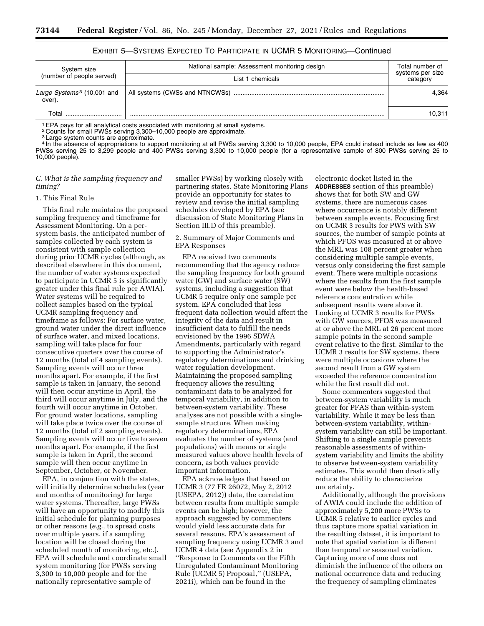| National sample: Assessment monitoring design<br>System size<br>(number of people served) |                  | Total number of<br>systems per size |  |
|-------------------------------------------------------------------------------------------|------------------|-------------------------------------|--|
|                                                                                           | List 1 chemicals | category                            |  |
| Large Systems <sup>3</sup> (10,001 and<br>over).                                          |                  | 4.364                               |  |
| Total                                                                                     |                  | 10,311                              |  |

# EXHIBIT 5—SYSTEMS EXPECTED TO PARTICIPATE IN UCMR 5 MONITORING—Continued

<sup>1</sup> EPA pays for all analytical costs associated with monitoring at small systems.

2 Counts for small PWSs serving 3,300–10,000 people are approximate.

<sup>3</sup> Large system counts are approximate.

4 In the absence of appropriations to support monitoring at all PWSs serving 3,300 to 10,000 people, EPA could instead include as few as 400 PWSs serving 25 to 3,299 people and 400 PWSs serving 3,300 to 10,000 people (for a representative sample of 800 PWSs serving 25 to 10,000 people).

### *C. What is the sampling frequency and timing?*

#### 1. This Final Rule

This final rule maintains the proposed sampling frequency and timeframe for Assessment Monitoring. On a persystem basis, the anticipated number of samples collected by each system is consistent with sample collection during prior UCMR cycles (although, as described elsewhere in this document, the number of water systems expected to participate in UCMR 5 is significantly greater under this final rule per AWIA). Water systems will be required to collect samples based on the typical UCMR sampling frequency and timeframe as follows: For surface water, ground water under the direct influence of surface water, and mixed locations, sampling will take place for four consecutive quarters over the course of 12 months (total of 4 sampling events). Sampling events will occur three months apart. For example, if the first sample is taken in January, the second will then occur anytime in April, the third will occur anytime in July, and the fourth will occur anytime in October. For ground water locations, sampling will take place twice over the course of 12 months (total of 2 sampling events). Sampling events will occur five to seven months apart. For example, if the first sample is taken in April, the second sample will then occur anytime in September, October, or November.

EPA, in conjunction with the states, will initially determine schedules (year and months of monitoring) for large water systems. Thereafter, large PWSs will have an opportunity to modify this initial schedule for planning purposes or other reasons (*e.g.,* to spread costs over multiple years, if a sampling location will be closed during the scheduled month of monitoring, etc.). EPA will schedule and coordinate small system monitoring (for PWSs serving 3,300 to 10,000 people and for the nationally representative sample of

smaller PWSs) by working closely with partnering states. State Monitoring Plans provide an opportunity for states to review and revise the initial sampling schedules developed by EPA (see discussion of State Monitoring Plans in Section III.D of this preamble).

2. Summary of Major Comments and EPA Responses

EPA received two comments recommending that the agency reduce the sampling frequency for both ground water (GW) and surface water (SW) systems, including a suggestion that UCMR 5 require only one sample per system. EPA concluded that less frequent data collection would affect the integrity of the data and result in insufficient data to fulfill the needs envisioned by the 1996 SDWA Amendments, particularly with regard to supporting the Administrator's regulatory determinations and drinking water regulation development. Maintaining the proposed sampling frequency allows the resulting contaminant data to be analyzed for temporal variability, in addition to between-system variability. These analyses are not possible with a singlesample structure. When making regulatory determinations, EPA evaluates the number of systems (and populations) with means or single measured values above health levels of concern, as both values provide important information.

EPA acknowledges that based on UCMR 3 (77 FR 26072, May 2, 2012 (USEPA, 2012)) data, the correlation between results from multiple sample events can be high; however, the approach suggested by commenters would yield less accurate data for several reasons. EPA's assessment of sampling frequency using UCMR 3 and UCMR 4 data (see Appendix 2 in ''Response to Comments on the Fifth Unregulated Contaminant Monitoring Rule (UCMR 5) Proposal,'' (USEPA, 2021i), which can be found in the

electronic docket listed in the **ADDRESSES** section of this preamble) shows that for both SW and GW systems, there are numerous cases where occurrence is notably different between sample events. Focusing first on UCMR 3 results for PWS with SW sources, the number of sample points at which PFOS was measured at or above the MRL was 108 percent greater when considering multiple sample events, versus only considering the first sample event. There were multiple occasions where the results from the first sample event were below the health-based reference concentration while subsequent results were above it. Looking at UCMR 3 results for PWSs with GW sources, PFOS was measured at or above the MRL at 26 percent more sample points in the second sample event relative to the first. Similar to the UCMR 3 results for SW systems, there were multiple occasions where the second result from a GW system exceeded the reference concentration while the first result did not.

Some commenters suggested that between-system variability is much greater for PFAS than within-system variability. While it may be less than between-system variability, withinsystem variability can still be important. Shifting to a single sample prevents reasonable assessments of withinsystem variability and limits the ability to observe between-system variability estimates. This would then drastically reduce the ability to characterize uncertainty.

Additionally, although the provisions of AWIA could include the addition of approximately 5,200 more PWSs to UCMR 5 relative to earlier cycles and thus capture more spatial variation in the resulting dataset, it is important to note that spatial variation is different than temporal or seasonal variation. Capturing more of one does not diminish the influence of the others on national occurrence data and reducing the frequency of sampling eliminates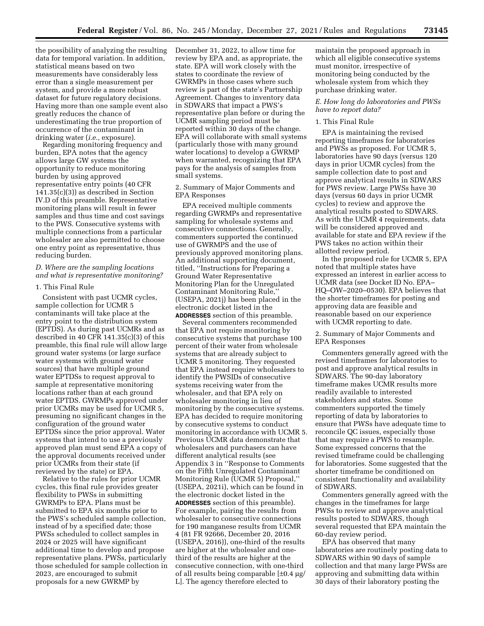the possibility of analyzing the resulting data for temporal variation. In addition, statistical means based on two measurements have considerably less error than a single measurement per system, and provide a more robust dataset for future regulatory decisions. Having more than one sample event also greatly reduces the chance of underestimating the true proportion of occurrence of the contaminant in drinking water (*i.e.,* exposure).

Regarding monitoring frequency and burden, EPA notes that the agency allows large GW systems the opportunity to reduce monitoring burden by using approved representative entry points (40 CFR 141.35(c)(3)) as described in Section IV.D of this preamble. Representative monitoring plans will result in fewer samples and thus time and cost savings to the PWS. Consecutive systems with multiple connections from a particular wholesaler are also permitted to choose one entry point as representative, thus reducing burden.

### *D. Where are the sampling locations and what is representative monitoring?*

#### 1. This Final Rule

Consistent with past UCMR cycles, sample collection for UCMR 5 contaminants will take place at the entry point to the distribution system (EPTDS). As during past UCMRs and as described in 40 CFR 141.35(c)(3) of this preamble, this final rule will allow large ground water systems (or large surface water systems with ground water sources) that have multiple ground water EPTDSs to request approval to sample at representative monitoring locations rather than at each ground water EPTDS. GWRMPs approved under prior UCMRs may be used for UCMR 5, presuming no significant changes in the configuration of the ground water EPTDSs since the prior approval. Water systems that intend to use a previously approved plan must send EPA a copy of the approval documents received under prior UCMRs from their state (if reviewed by the state) or EPA.

Relative to the rules for prior UCMR cycles, this final rule provides greater flexibility to PWSs in submitting GWRMPs to EPA. Plans must be submitted to EPA six months prior to the PWS's scheduled sample collection, instead of by a specified date; those PWSs scheduled to collect samples in 2024 or 2025 will have significant additional time to develop and propose representative plans. PWSs, particularly those scheduled for sample collection in 2023, are encouraged to submit proposals for a new GWRMP by

December 31, 2022, to allow time for review by EPA and, as appropriate, the state. EPA will work closely with the states to coordinate the review of GWRMPs in those cases where such review is part of the state's Partnership Agreement. Changes to inventory data in SDWARS that impact a PWS's representative plan before or during the UCMR sampling period must be reported within 30 days of the change. EPA will collaborate with small systems (particularly those with many ground water locations) to develop a GWRMP when warranted, recognizing that EPA pays for the analysis of samples from small systems.

### 2. Summary of Major Comments and EPA Responses

EPA received multiple comments regarding GWRMPs and representative sampling for wholesale systems and consecutive connections. Generally, commenters supported the continued use of GWRMPS and the use of previously approved monitoring plans. An additional supporting document, titled, ''Instructions for Preparing a Ground Water Representative Monitoring Plan for the Unregulated Contaminant Monitoring Rule,'' (USEPA, 2021j) has been placed in the electronic docket listed in the **ADDRESSES** section of this preamble.

Several commenters recommended that EPA not require monitoring by consecutive systems that purchase 100 percent of their water from wholesale systems that are already subject to UCMR 5 monitoring. They requested that EPA instead require wholesalers to identify the PWSIDs of consecutive systems receiving water from the wholesaler, and that EPA rely on wholesaler monitoring in lieu of monitoring by the consecutive systems. EPA has decided to require monitoring by consecutive systems to conduct monitoring in accordance with UCMR 5. Previous UCMR data demonstrate that wholesalers and purchasers can have different analytical results (see Appendix 3 in ''Response to Comments on the Fifth Unregulated Contaminant Monitoring Rule (UCMR 5) Proposal,'' (USEPA, 2021i), which can be found in the electronic docket listed in the **ADDRESSES** section of this preamble). For example, pairing the results from wholesaler to consecutive connections for 190 manganese results from UCMR 4 (81 FR 92666, December 20, 2016 (USEPA, 2016)), one-third of the results are higher at the wholesaler and onethird of the results are higher at the consecutive connection, with one-third of all results being comparable  $[\pm 0.4 \,\mu g$ / L]. The agency therefore elected to

maintain the proposed approach in which all eligible consecutive systems must monitor, irrespective of monitoring being conducted by the wholesale system from which they purchase drinking water.

### *E. How long do laboratories and PWSs have to report data?*

#### 1. This Final Rule

EPA is maintaining the revised reporting timeframes for laboratories and PWSs as proposed. For UCMR 5, laboratories have 90 days (versus 120 days in prior UCMR cycles) from the sample collection date to post and approve analytical results in SDWARS for PWS review. Large PWSs have 30 days (versus 60 days in prior UCMR cycles) to review and approve the analytical results posted to SDWARS. As with the UCMR 4 requirements, data will be considered approved and available for state and EPA review if the PWS takes no action within their allotted review period.

In the proposed rule for UCMR 5, EPA noted that multiple states have expressed an interest in earlier access to UCMR data (see Docket ID No. EPA– HQ–OW–2020–0530). EPA believes that the shorter timeframes for posting and approving data are feasible and reasonable based on our experience with UCMR reporting to date.

2. Summary of Major Comments and EPA Responses

Commenters generally agreed with the revised timeframes for laboratories to post and approve analytical results in SDWARS. The 90-day laboratory timeframe makes UCMR results more readily available to interested stakeholders and states. Some commenters supported the timely reporting of data by laboratories to ensure that PWSs have adequate time to reconcile QC issues, especially those that may require a PWS to resample. Some expressed concerns that the revised timeframe could be challenging for laboratories. Some suggested that the shorter timeframe be conditioned on consistent functionality and availability of SDWARS.

Commenters generally agreed with the changes in the timeframes for large PWSs to review and approve analytical results posted to SDWARS, though several requested that EPA maintain the 60-day review period.

EPA has observed that many laboratories are routinely posting data to SDWARS within 90 days of sample collection and that many large PWSs are approving and submitting data within 30 days of their laboratory posting the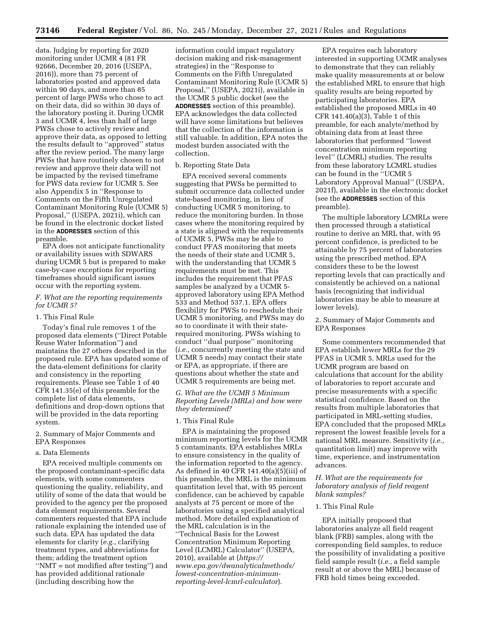data. Judging by reporting for 2020 monitoring under UCMR 4 (81 FR 92666, December 20, 2016 (USEPA, 2016)), more than 75 percent of laboratories posted and approved data within 90 days, and more than 85 percent of large PWSs who chose to act on their data, did so within 30 days of the laboratory posting it. During UCMR 3 and UCMR 4, less than half of large PWSs chose to actively review and approve their data, as opposed to letting the results default to ''approved'' status after the review period. The many large PWSs that have routinely chosen to not review and approve their data will not be impacted by the revised timeframe for PWS data review for UCMR 5. See also Appendix 5 in ''Response to Comments on the Fifth Unregulated Contaminant Monitoring Rule (UCMR 5) Proposal,'' (USEPA, 2021i), which can be found in the electronic docket listed in the **ADDRESSES** section of this preamble.

EPA does not anticipate functionality or availability issues with SDWARS during UCMR 5 but is prepared to make case-by-case exceptions for reporting timeframes should significant issues occur with the reporting system.

#### *F. What are the reporting requirements for UCMR 5?*

#### 1. This Final Rule

Today's final rule removes 1 of the proposed data elements (''Direct Potable Reuse Water Information'') and maintains the 27 others described in the proposed rule. EPA has updated some of the data-element definitions for clarity and consistency in the reporting requirements. Please see Table 1 of 40 CFR 141.35(e) of this preamble for the complete list of data elements, definitions and drop-down options that will be provided in the data reporting system.

2. Summary of Major Comments and EPA Responses

#### a. Data Elements

EPA received multiple comments on the proposed contaminant-specific data elements, with some commenters questioning the quality, reliability, and utility of some of the data that would be provided to the agency per the proposed data element requirements. Several commenters requested that EPA include rationale explaining the intended use of such data. EPA has updated the data elements for clarity (*e.g.,* clarifying treatment types, and abbreviations for them; adding the treatment option ''NMT = not modified after testing'') and has provided additional rationale (including describing how the

information could impact regulatory decision making and risk-management strategies) in the ''Response to Comments on the Fifth Unregulated Contaminant Monitoring Rule (UCMR 5) Proposal,'' (USEPA, 2021i), available in the UCMR 5 public docket (see the **ADDRESSES** section of this preamble). EPA acknowledges the data collected will have some limitations but believes that the collection of the information is still valuable. In addition, EPA notes the modest burden associated with the collection.

### b. Reporting State Data

EPA received several comments suggesting that PWSs be permitted to submit occurrence data collected under state-based monitoring, in lieu of conducting UCMR 5 monitoring, to reduce the monitoring burden. In those cases where the monitoring required by a state is aligned with the requirements of UCMR 5, PWSs may be able to conduct PFAS monitoring that meets the needs of their state and UCMR 5, with the understanding that UCMR 5 requirements must be met. This includes the requirement that PFAS samples be analyzed by a UCMR 5 approved laboratory using EPA Method 533 and Method 537.1. EPA offers flexibility for PWSs to reschedule their UCMR 5 monitoring, and PWSs may do so to coordinate it with their staterequired monitoring. PWSs wishing to conduct ''dual purpose'' monitoring (*i.e.,* concurrently meeting the state and UCMR 5 needs) may contact their state or EPA, as appropriate, if there are questions about whether the state and UCMR 5 requirements are being met.

*G. What are the UCMR 5 Minimum Reporting Levels (MRLs) and how were they determined?* 

#### 1. This Final Rule

EPA is maintaining the proposed minimum reporting levels for the UCMR 5 contaminants. EPA establishes MRLs to ensure consistency in the quality of the information reported to the agency. As defined in 40 CFR 141.40(a)(5)(iii) of this preamble, the MRL is the minimum quantitation level that, with 95 percent confidence, can be achieved by capable analysts at 75 percent or more of the laboratories using a specified analytical method. More detailed explanation of the MRL calculation is in the ''Technical Basis for the Lowest Concentration Minimum Reporting Level (LCMRL) Calculator'' (USEPA, 2010), available at (*[https://](https://www.epa.gov/dwanalyticalmethods/lowest-concentration-minimum-reporting-level-lcmrl-calculator) [www.epa.gov/dwanalyticalmethods/](https://www.epa.gov/dwanalyticalmethods/lowest-concentration-minimum-reporting-level-lcmrl-calculator)  [lowest-concentration-minimum](https://www.epa.gov/dwanalyticalmethods/lowest-concentration-minimum-reporting-level-lcmrl-calculator)[reporting-level-lcmrl-calculator](https://www.epa.gov/dwanalyticalmethods/lowest-concentration-minimum-reporting-level-lcmrl-calculator)*).

EPA requires each laboratory interested in supporting UCMR analyses to demonstrate that they can reliably make quality measurements at or below the established MRL to ensure that high quality results are being reported by participating laboratories. EPA established the proposed MRLs in 40 CFR 141.40(a)(3), Table 1 of this preamble, for each analyte/method by obtaining data from at least three laboratories that performed ''lowest concentration minimum reporting level'' (LCMRL) studies. The results from these laboratory LCMRL studies can be found in the ''UCMR 5 Laboratory Approval Manual'' (USEPA, 2021f), available in the electronic docket (see the **ADDRESSES** section of this preamble).

The multiple laboratory LCMRLs were then processed through a statistical routine to derive an MRL that, with 95 percent confidence, is predicted to be attainable by 75 percent of laboratories using the prescribed method. EPA considers these to be the lowest reporting levels that can practically and consistently be achieved on a national basis (recognizing that individual laboratories may be able to measure at lower levels).

# 2. Summary of Major Comments and EPA Responses

Some commenters recommended that EPA establish lower MRLs for the 29 PFAS in UCMR 5. MRLs used for the UCMR program are based on calculations that account for the ability of laboratories to report accurate and precise measurements with a specific statistical confidence. Based on the results from multiple laboratories that participated in MRL-setting studies, EPA concluded that the proposed MRLs represent the lowest feasible levels for a national MRL measure. Sensitivity (*i.e.,*  quantitation limit) may improve with time, experience, and instrumentation advances.

## *H. What are the requirements for laboratory analysis of field reagent blank samples?*

### 1. This Final Rule

EPA initially proposed that laboratories analyze all field reagent blank (FRB) samples, along with the corresponding field samples, to reduce the possibility of invalidating a positive field sample result (*i.e.,* a field sample result at or above the MRL) because of FRB hold times being exceeded.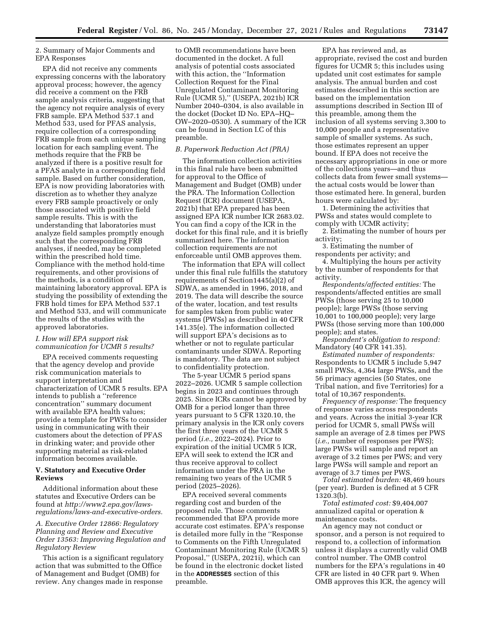### 2. Summary of Major Comments and EPA Responses

EPA did not receive any comments expressing concerns with the laboratory approval process; however, the agency did receive a comment on the FRB sample analysis criteria, suggesting that the agency not require analysis of every FRB sample. EPA Method 537.1 and Method 533, used for PFAS analysis, require collection of a corresponding FRB sample from each unique sampling location for each sampling event. The methods require that the FRB be analyzed if there is a positive result for a PFAS analyte in a corresponding field sample. Based on further consideration, EPA is now providing laboratories with discretion as to whether they analyze every FRB sample proactively or only those associated with positive field sample results. This is with the understanding that laboratories must analyze field samples promptly enough such that the corresponding FRB analyses, if needed, may be completed within the prescribed hold time. Compliance with the method hold-time requirements, and other provisions of the methods, is a condition of maintaining laboratory approval. EPA is studying the possibility of extending the FRB hold times for EPA Method 537.1 and Method 533, and will communicate the results of the studies with the approved laboratories.

# *I. How will EPA support risk communication for UCMR 5 results?*

EPA received comments requesting that the agency develop and provide risk communication materials to support interpretation and characterization of UCMR 5 results. EPA intends to publish a ''reference concentration'' summary document with available EPA health values; provide a template for PWSs to consider using in communicating with their customers about the detection of PFAS in drinking water; and provide other supporting material as risk-related information becomes available.

#### **V. Statutory and Executive Order Reviews**

Additional information about these statutes and Executive Orders can be found at *[http://www2.epa.gov/laws](http://www2.epa.gov/laws-regulations/laws-and-executive-orders)[regulations/laws-and-executive-orders.](http://www2.epa.gov/laws-regulations/laws-and-executive-orders)* 

## *A. Executive Order 12866: Regulatory Planning and Review and Executive Order 13563: Improving Regulation and Regulatory Review*

This action is a significant regulatory action that was submitted to the Office of Management and Budget (OMB) for review. Any changes made in response

to OMB recommendations have been documented in the docket. A full analysis of potential costs associated with this action, the ''Information Collection Request for the Final Unregulated Contaminant Monitoring Rule (UCMR 5),'' (USEPA, 2021b) ICR Number 2040–0304, is also available in the docket (Docket ID No. EPA–HQ– OW–2020–0530). A summary of the ICR can be found in Section I.C of this preamble.

#### *B. Paperwork Reduction Act (PRA)*

The information collection activities in this final rule have been submitted for approval to the Office of Management and Budget (OMB) under the PRA. The Information Collection Request (ICR) document (USEPA, 2021b) that EPA prepared has been assigned EPA ICR number ICR 2683.02. You can find a copy of the ICR in the docket for this final rule, and it is briefly summarized here. The information collection requirements are not enforceable until OMB approves them.

The information that EPA will collect under this final rule fulfills the statutory requirements of Section1445(a)(2) of SDWA, as amended in 1996, 2018, and 2019. The data will describe the source of the water, location, and test results for samples taken from public water systems (PWSs) as described in 40 CFR 141.35(e). The information collected will support EPA's decisions as to whether or not to regulate particular contaminants under SDWA. Reporting is mandatory. The data are not subject to confidentiality protection.

The 5-year UCMR 5 period spans 2022–2026. UCMR 5 sample collection begins in 2023 and continues through 2025. Since ICRs cannot be approved by OMB for a period longer than three years pursuant to 5 CFR 1320.10, the primary analysis in the ICR only covers the first three years of the UCMR 5 period (*i.e.,* 2022–2024). Prior to expiration of the initial UCMR 5 ICR, EPA will seek to extend the ICR and thus receive approval to collect information under the PRA in the remaining two years of the UCMR 5 period (2025–2026).

EPA received several comments regarding cost and burden of the proposed rule. Those comments recommended that EPA provide more accurate cost estimates. EPA's response is detailed more fully in the ''Response to Comments on the Fifth Unregulated Contaminant Monitoring Rule (UCMR 5) Proposal,'' (USEPA, 2021i), which can be found in the electronic docket listed in the **ADDRESSES** section of this preamble.

EPA has reviewed and, as appropriate, revised the cost and burden figures for UCMR 5; this includes using updated unit cost estimates for sample analysis. The annual burden and cost estimates described in this section are based on the implementation assumptions described in Section III of this preamble, among them the inclusion of all systems serving 3,300 to 10,000 people and a representative sample of smaller systems. As such, those estimates represent an upper bound. If EPA does not receive the necessary appropriations in one or more of the collections years—and thus collects data from fewer small systems the actual costs would be lower than those estimated here. In general, burden hours were calculated by:

1. Determining the activities that PWSs and states would complete to comply with UCMR activity;

2. Estimating the number of hours per activity;

3. Estimating the number of respondents per activity; and

4. Multiplying the hours per activity by the number of respondents for that activity.

*Respondents/affected entities:* The respondents/affected entities are small PWSs (those serving 25 to 10,000 people); large PWSs (those serving 10,001 to 100,000 people); very large PWSs (those serving more than 100,000 people); and states.

*Respondent's obligation to respond:*  Mandatory (40 CFR 141.35).

*Estimated number of respondents:*  Respondents to UCMR 5 include 5,947 small PWSs, 4,364 large PWSs, and the 56 primacy agencies (50 States, one Tribal nation, and five Territories) for a total of 10,367 respondents.

*Frequency of response:* The frequency of response varies across respondents and years. Across the initial 3-year ICR period for UCMR 5, small PWSs will sample an average of 2.8 times per PWS (*i.e.,* number of responses per PWS); large PWSs will sample and report an average of 3.2 times per PWS; and very large PWSs will sample and report an average of 3.7 times per PWS.

*Total estimated burden:* 48,469 hours (per year). Burden is defined at 5 CFR 1320.3(b).

*Total estimated cost:* \$9,404,007 annualized capital or operation & maintenance costs.

An agency may not conduct or sponsor, and a person is not required to respond to, a collection of information unless it displays a currently valid OMB control number. The OMB control numbers for the EPA's regulations in 40 CFR are listed in 40 CFR part 9. When OMB approves this ICR, the agency will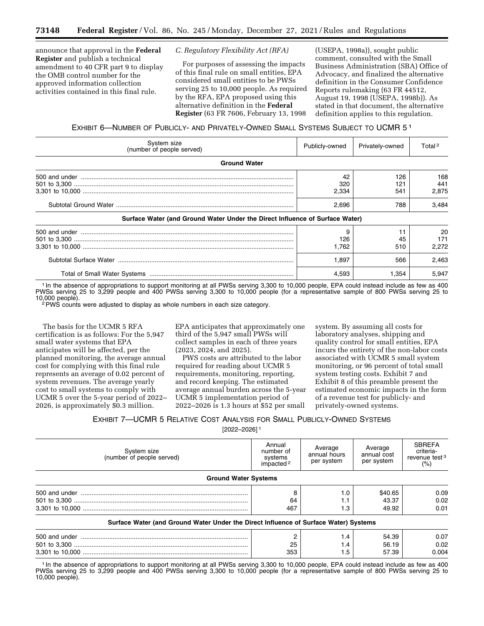announce that approval in the **Federal Register** and publish a technical amendment to 40 CFR part 9 to display the OMB control number for the approved information collection activities contained in this final rule.

*C. Regulatory Flexibility Act (RFA)* 

For purposes of assessing the impacts of this final rule on small entities, EPA considered small entities to be PWSs serving 25 to 10,000 people. As required by the RFA, EPA proposed using this alternative definition in the **Federal Register** (63 FR 7606, February 13, 1998

(USEPA, 1998a)), sought public comment, consulted with the Small Business Administration (SBA) Office of Advocacy, and finalized the alternative definition in the Consumer Confidence Reports rulemaking (63 FR 44512, August 19, 1998 (USEPA, 1998b)). As stated in that document, the alternative definition applies to this regulation.

EXHIBIT 6—NUMBER OF PUBLICLY- AND PRIVATELY-OWNED SMALL SYSTEMS SUBJECT TO UCMR 5 1

| System size<br>(number of people served)                                     | Publicly-owned              | Privately-owned          | Total <sup>2</sup>           |
|------------------------------------------------------------------------------|-----------------------------|--------------------------|------------------------------|
| <b>Ground Water</b>                                                          |                             |                          |                              |
|                                                                              | 42<br>320<br>2.334<br>2.696 | 126<br>121<br>541<br>788 | 168<br>441<br>2.875<br>3.484 |
| Surface Water (and Ground Water Under the Direct Influence of Surface Water) |                             |                          |                              |
|                                                                              | 9<br>126<br>1.762           | 45<br>510                | 20<br>171<br>2.272           |
|                                                                              | 1.897                       | 566                      | 2,463                        |
|                                                                              | 4,593                       | 1,354                    | 5,947                        |

1 In the absence of appropriations to support monitoring at all PWSs serving 3,300 to 10,000 people, EPA could instead include as few as 400 PWSs serving 25 to 3,299 people and 400 PWSs serving 3,300 to 10,000 people (for a representative sample of 800 PWSs serving 25 to<br>10,000 people).

 $2$  PWS counts were adjusted to display as whole numbers in each size category.

The basis for the UCMR 5 RFA certification is as follows: For the 5,947 small water systems that EPA anticipates will be affected, per the planned monitoring, the average annual cost for complying with this final rule represents an average of 0.02 percent of system revenues. The average yearly cost to small systems to comply with UCMR 5 over the 5-year period of 2022– 2026, is approximately \$0.3 million.

EPA anticipates that approximately one third of the 5,947 small PWSs will collect samples in each of three years (2023, 2024, and 2025).

PWS costs are attributed to the labor required for reading about UCMR 5 requirements, monitoring, reporting, and record keeping. The estimated average annual burden across the 5-year UCMR 5 implementation period of 2022–2026 is 1.3 hours at \$52 per small

system. By assuming all costs for laboratory analyses, shipping and quality control for small entities, EPA incurs the entirety of the non-labor costs associated with UCMR 5 small system monitoring, or 96 percent of total small system testing costs. Exhibit 7 and Exhibit 8 of this preamble present the estimated economic impacts in the form of a revenue test for publicly- and privately-owned systems.

EXHIBIT 7—UCMR 5 RELATIVE COST ANALYSIS FOR SMALL PUBLICLY-OWNED SYSTEMS

[2022–2026] 1

| System size<br>(number of people served)                                             | Annual<br>number of<br>systems<br>impacted <sup>2</sup> | Average<br>annual hours<br>per system | Average<br>annual cost<br>per system | <b>SBREFA</b><br>criteria-<br>revenue test <sup>3</sup><br>$(\% )$ |
|--------------------------------------------------------------------------------------|---------------------------------------------------------|---------------------------------------|--------------------------------------|--------------------------------------------------------------------|
| <b>Ground Water Systems</b>                                                          |                                                         |                                       |                                      |                                                                    |
|                                                                                      |                                                         | 1.0                                   | \$40.65                              | 0.09                                                               |
|                                                                                      | 64                                                      | 1.1                                   | 43.37                                | 0.02                                                               |
|                                                                                      | 467                                                     | 1.3                                   | 49.92                                | 0.01                                                               |
| Surface Water (and Ground Water Under the Direct Influence of Surface Water) Systems |                                                         |                                       |                                      |                                                                    |
|                                                                                      |                                                         | 1.4                                   | 54.39                                | 0.07                                                               |
|                                                                                      | 25                                                      | 1.4                                   | 56.19                                | 0.02                                                               |
|                                                                                      | 353                                                     | l .5                                  | 57.39                                | 0.004                                                              |

1 In the absence of appropriations to support monitoring at all PWSs serving 3,300 to 10,000 people, EPA could instead include as few as 400 PWSs serving 25 to 3,299 people and 400 PWSs serving 3,300 to 10,000 people (for a representative sample of 800 PWSs serving 25 to 10,000 people).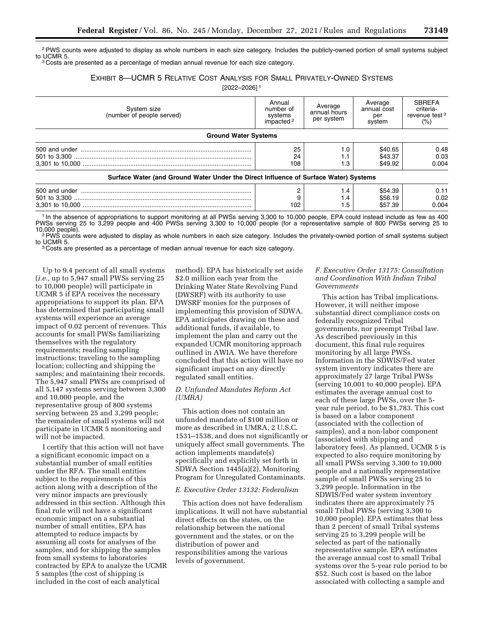<sup>2</sup>PWS counts were adjusted to display as whole numbers in each size category. Includes the publicly-owned portion of small systems subject to UCMR 5.

<sup>3</sup> Costs are presented as a percentage of median annual revenue for each size category.

# EXHIBIT 8—UCMR 5 RELATIVE COST ANALYSIS FOR SMALL PRIVATELY-OWNED SYSTEMS

[2022–2026] 1

| System size<br>(number of people served)                                             | Annual<br>number of<br>systems<br>impacted <sup>2</sup> | Average<br>annual hours<br>per system | Average<br>annual cost<br>per<br>system | <b>SBREFA</b><br>criteria-<br>revenue test <sup>3</sup><br>(%) |
|--------------------------------------------------------------------------------------|---------------------------------------------------------|---------------------------------------|-----------------------------------------|----------------------------------------------------------------|
| <b>Ground Water Systems</b>                                                          |                                                         |                                       |                                         |                                                                |
|                                                                                      | 25                                                      | 1.0                                   | \$40.65                                 | 0.48                                                           |
|                                                                                      | 24                                                      | 1.1                                   | \$43.37                                 | 0.03                                                           |
|                                                                                      | 108                                                     | . .3                                  | \$49.92                                 | 0.004                                                          |
| Surface Water (and Ground Water Under the Direct Influence of Surface Water) Systems |                                                         |                                       |                                         |                                                                |

| 500 and           |           | . . - | $\sim$ |  |
|-------------------|-----------|-------|--------|--|
| 501               |           | . . – |        |  |
| 3.30 <sup>+</sup> | ممد<br>◡▵ |       |        |  |

In the absence of appropriations to support monitoring at all PWSs serving 3,300 to 10,000 people, EPA could instead include as few as 400 PWSs serving 25 to 3,299 people and 400 PWSs serving 3,300 to 10,000 people (for a representative sample of 800 PWSs serving 25 to<br>10,000 people).

<sup>2</sup> PWS counts were adjusted to display as whole numbers in each size category. Includes the privately-owned portion of small systems subject<br>to UCMR 5.

<sup>3</sup> Costs are presented as a percentage of median annual revenue for each size category.

Up to 9.4 percent of all small systems (*i.e.,* up to 5,947 small PWSs serving 25 to 10,000 people) will participate in UCMR 5 if EPA receives the necessary appropriations to support its plan. EPA has determined that participating small systems will experience an average impact of 0.02 percent of revenues. This accounts for small PWSs familiarizing themselves with the regulatory requirements; reading sampling instructions; traveling to the sampling location; collecting and shipping the samples; and maintaining their records. The 5,947 small PWSs are comprised of all 5,147 systems serving between 3,300 and 10,000 people, and the representative group of 800 systems serving between 25 and 3,299 people; the remainder of small systems will not participate in UCMR 5 monitoring and will not be impacted.

I certify that this action will not have a significant economic impact on a substantial number of small entities under the RFA. The small entities subject to the requirements of this action along with a description of the very minor impacts are previously addressed in this section. Although this final rule will not have a significant economic impact on a substantial number of small entities, EPA has attempted to reduce impacts by assuming all costs for analyses of the samples, and for shipping the samples from small systems to laboratories contracted by EPA to analyze the UCMR 5 samples (the cost of shipping is included in the cost of each analytical

method). EPA has historically set aside \$2.0 million each year from the Drinking Water State Revolving Fund (DWSRF) with its authority to use DWSRF monies for the purposes of implementing this provision of SDWA. EPA anticipates drawing on these and additional funds, if available, to implement the plan and carry out the expanded UCMR monitoring approach outlined in AWIA. We have therefore concluded that this action will have no significant impact on any directly regulated small entities.

# *D. Unfunded Mandates Reform Act (UMRA)*

This action does not contain an unfunded mandate of \$100 million or more as described in UMRA, 2 U.S.C. 1531–1538, and does not significantly or uniquely affect small governments. The action implements mandate(s) specifically and explicitly set forth in SDWA Section 1445(a)(2), Monitoring Program for Unregulated Contaminants.

### *E. Executive Order 13132: Federalism*

This action does not have federalism implications. It will not have substantial direct effects on the states, on the relationship between the national government and the states, or on the distribution of power and responsibilities among the various levels of government.

# *F. Executive Order 13175: Consultation and Coordination With Indian Tribal Governments*

This action has Tribal implications. However, it will neither impose substantial direct compliance costs on federally recognized Tribal governments, nor preempt Tribal law. As described previously in this document, this final rule requires monitoring by all large PWSs. Information in the SDWIS/Fed water system inventory indicates there are approximately 27 large Tribal PWSs (serving 10,001 to 40,000 people). EPA estimates the average annual cost to each of these large PWSs, over the 5 year rule period, to be \$1,783. This cost is based on a labor component (associated with the collection of samples), and a non-labor component (associated with shipping and laboratory fees). As planned, UCMR 5 is expected to also require monitoring by all small PWSs serving 3,300 to 10,000 people and a nationally representative sample of small PWSs serving 25 to 3,299 people. Information in the SDWIS/Fed water system inventory indicates there are approximately 75 small Tribal PWSs (serving 3,300 to 10,000 people). EPA estimates that less than 2 percent of small Tribal systems serving 25 to 3,299 people will be selected as part of the nationally representative sample. EPA estimates the average annual cost to small Tribal systems over the 5-year rule period to be \$52. Such cost is based on the labor associated with collecting a sample and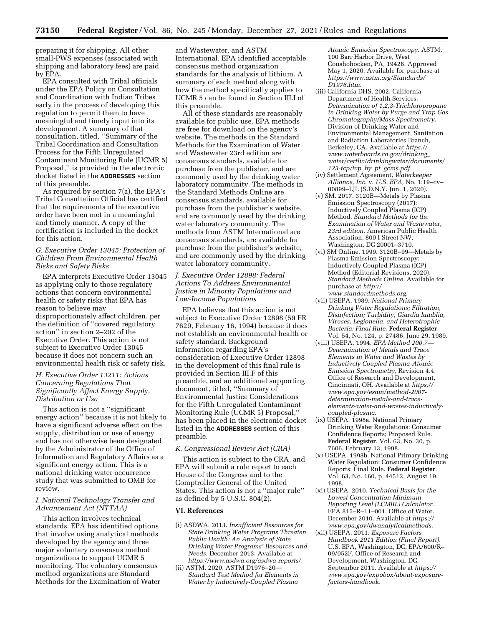preparing it for shipping. All other small-PWS expenses (associated with shipping and laboratory fees) are paid by EPA.

EPA consulted with Tribal officials under the EPA Policy on Consultation and Coordination with Indian Tribes early in the process of developing this regulation to permit them to have meaningful and timely input into its development. A summary of that consultation, titled, ''Summary of the Tribal Coordination and Consultation Process for the Fifth Unregulated Contaminant Monitoring Rule (UCMR 5) Proposal,'' is provided in the electronic docket listed in the **ADDRESSES** section of this preamble.

As required by section 7(a), the EPA's Tribal Consultation Official has certified that the requirements of the executive order have been met in a meaningful and timely manner. A copy of the certification is included in the docket for this action.

### *G. Executive Order 13045: Protection of Children From Environmental Health Risks and Safety Risks*

EPA interprets Executive Order 13045 as applying only to those regulatory actions that concern environmental health or safety risks that EPA has reason to believe may disproportionately affect children, per the definition of ''covered regulatory action'' in section 2–202 of the Executive Order. This action is not subject to Executive Order 13045 because it does not concern such an environmental health risk or safety risk.

### *H. Executive Order 13211: Actions Concerning Regulations That Significantly Affect Energy Supply, Distribution or Use*

This action is not a ''significant energy action'' because it is not likely to have a significant adverse effect on the supply, distribution or use of energy and has not otherwise been designated by the Administrator of the Office of Information and Regulatory Affairs as a significant energy action. This is a national drinking water occurrence study that was submitted to OMB for review.

### *I. National Technology Transfer and Advancement Act (NTTAA)*

This action involves technical standards. EPA has identified options that involve using analytical methods developed by the agency and three major voluntary consensus method organizations to support UCMR 5 monitoring. The voluntary consensus method organizations are Standard Methods for the Examination of Water and Wastewater, and ASTM International. EPA identified acceptable consensus method organization standards for the analysis of lithium. A summary of each method along with how the method specifically applies to UCMR 5 can be found in Section III.I of this preamble.

All of these standards are reasonably available for public use. EPA methods are free for download on the agency's website. The methods in the Standard Methods for the Examination of Water and Wastewater 23rd edition are consensus standards, available for purchase from the publisher, and are commonly used by the drinking water laboratory community. The methods in the Standard Methods Online are consensus standards, available for purchase from the publisher's website, and are commonly used by the drinking water laboratory community. The methods from ASTM International are consensus standards, are available for purchase from the publisher's website, and are commonly used by the drinking water laboratory community.

# *J. Executive Order 12898: Federal Actions To Address Environmental Justice in Minority Populations and Low-Income Populations*

EPA believes that this action is not subject to Executive Order 12898 (59 FR 7629, February 16, 1994) because it does not establish an environmental health or safety standard. Background information regarding EPA's consideration of Executive Order 12898 in the development of this final rule is provided in Section III.F of this preamble, and an additional supporting document, titled, ''Summary of Environmental Justice Considerations for the Fifth Unregulated Contaminant Monitoring Rule (UCMR 5) Proposal,'' has been placed in the electronic docket listed in the **ADDRESSES** section of this preamble.

### *K. Congressional Review Act (CRA)*

This action is subject to the CRA, and EPA will submit a rule report to each House of the Congress and to the Comptroller General of the United States. This action is not a ''major rule'' as defined by 5 U.S.C. 804(2).

#### **VI. References**

- (i) ASDWA. 2013. *Insufficient Resources for State Drinking Water Programs Threaten Public Health: An Analysis of State Drinking Water Programs' Resources and Needs.* December 2013. Available at *[https://www.asdwa.org/asdwa-reports/.](https://www.asdwa.org/asdwa-reports/)*
- (ii) ASTM. 2020. ASTM D1976–20— *Standard Test Method for Elements in Water by Inductively-Coupled Plasma*

*Atomic Emission Spectroscopy.* ASTM, 100 Barr Harbor Drive, West Conshohocken, PA, 19428. Approved May 1, 2020. Available for purchase at *[https://www.astm.org/Standards/](https://www.astm.org/Standards/D1976.htm) [D1976.htm.](https://www.astm.org/Standards/D1976.htm)* 

- (iii) California DHS. 2002. California Department of Health Services. *Determination of 1,2,3-Trichloropropane in Drinking Water by Purge and Trap Gas Chromatography/Mass Spectrometry.*  Division of Drinking Water and Environmental Management, Sanitation and Radiation Laboratories Branch, Berkeley, CA. Available at *[https://](https://www.waterboards.ca.gov/drinking_water/certlic/drinkingwater/documents/123-tcp/tcp_by_pt_gcms.pdf) [www.waterboards.ca.gov/drinking](https://www.waterboards.ca.gov/drinking_water/certlic/drinkingwater/documents/123-tcp/tcp_by_pt_gcms.pdf)*\_ *[water/certlic/drinkingwater/documents/](https://www.waterboards.ca.gov/drinking_water/certlic/drinkingwater/documents/123-tcp/tcp_by_pt_gcms.pdf)  [123-tcp/tcp](https://www.waterboards.ca.gov/drinking_water/certlic/drinkingwater/documents/123-tcp/tcp_by_pt_gcms.pdf)*\_*by*\_*pt*\_*gcms.pdf.*
- (iv) Settlement Agreement, *Waterkeeper Alliance, Inc.* v. *U.S. EPA,* No. 1:19–cv– 00899–LJL (S.D.N.Y. Jun. 1, 2020).
- (v) SM. 2017. 3120B—Metals by Plasma Emission Spectroscopy (2017): Inductively Coupled Plasma (ICP) Method. *Standard Methods for the Examination of Water and Wastewater, 23rd edition.* American Public Health Association, 800 I Street NW, Washington, DC 20001–3710.
- (vi) SM Online. 1999. 3120B–99—Metals by Plasma Emission Spectroscopy: Inductively Coupled Plasma (ICP) Method (Editorial Revisions, 2020). *Standard Methods Online.* Available for purchase at *[http://](http://www.standardmethods.org) [www.standardmethods.org.](http://www.standardmethods.org)*
- (vii) USEPA. 1989. *National Primary Drinking Water Regulations; Filtration, Disinfection; Turbidity, Giardia lamblia, Viruses, Legionella, and Heterotrophic Bacteria; Final Rule.* **Federal Register**. Vol. 54, No. 124, p. 27486, June 29, 1989.
- (viii) USEPA. 1994. *EPA Method 200.7— Determination of Metals and Trace Elements in Water and Wastes by Inductively Coupled Plasma-Atomic Emission Spectrometry,* Revision 4.4. Office of Research and Development, Cincinnati, OH. Available at *[https://](https://www.epa.gov/esam/method-2007-determination-metals-and-trace-elements-water-and-wastes-inductively-coupled-plasma) [www.epa.gov/esam/method-2007](https://www.epa.gov/esam/method-2007-determination-metals-and-trace-elements-water-and-wastes-inductively-coupled-plasma)  [determination-metals-and-trace](https://www.epa.gov/esam/method-2007-determination-metals-and-trace-elements-water-and-wastes-inductively-coupled-plasma)[elements-water-and-wastes-inductively](https://www.epa.gov/esam/method-2007-determination-metals-and-trace-elements-water-and-wastes-inductively-coupled-plasma)[coupled-plasma.](https://www.epa.gov/esam/method-2007-determination-metals-and-trace-elements-water-and-wastes-inductively-coupled-plasma)*
- (ix) USEPA. 1998a. National Primary Drinking Water Regulations: Consumer Confidence Reports; Proposed Rule. **Federal Register**. Vol. 63, No. 30, p. 7606, February 13, 1998.
- (x) USEPA. 1998b. National Primary Drinking Water Regulation: Consumer Confidence Reports; Final Rule. **Federal Register**. Vol. 63, No. 160, p. 44512, August 19, 1998.
- (xi) USEPA. 2010. *Technical Basis for the Lowest Concentration Minimum Reporting Level (LCMRL) Calculator.*  EPA 815–R–11–001. Office of Water. December 2010. Available at *[https://](https://www.epa.gov/dwanalyticalmethods) [www.epa.gov/dwanalyticalmethods.](https://www.epa.gov/dwanalyticalmethods)*
- (xii) USEPA. 2011. *Exposure Factors Handbook 2011 Edition (Final Report).*  U.S. EPA, Washington, DC, EPA/600/R– 09/052F. Office of Research and Development, Washington, DC. September 2011. Available at *[https://](https://www.epa.gov/expobox/about-exposure-factors-handbook) [www.epa.gov/expobox/about-exposure](https://www.epa.gov/expobox/about-exposure-factors-handbook)[factors-handbook.](https://www.epa.gov/expobox/about-exposure-factors-handbook)*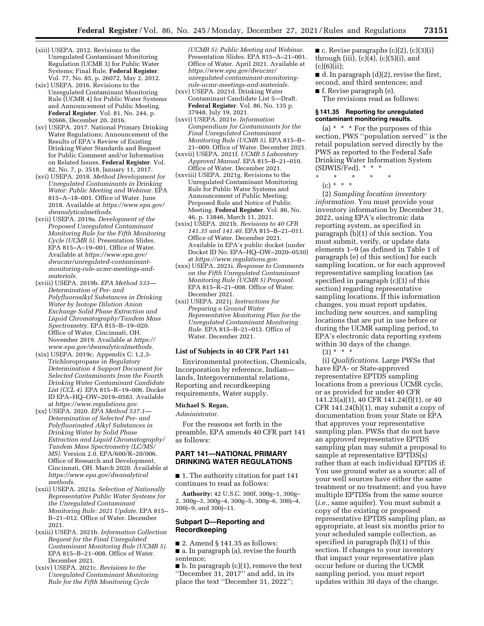- (xiii) USEPA. 2012. Revisions to the Unregulated Contaminant Monitoring Regulation (UCMR 3) for Public Water Systems; Final Rule. **Federal Register**. Vol. 77, No. 85, p. 26072, May 2, 2012.
- (xiv) USEPA. 2016. Revisions to the Unregulated Contaminant Monitoring Rule (UCMR 4) for Public Water Systems and Announcement of Public Meeting. **Federal Register**. Vol. 81, No. 244, p. 92666, December 20, 2016.
- (xv) USEPA. 2017. National Primary Drinking Water Regulations; Announcement of the Results of EPA's Review of Existing Drinking Water Standards and Request for Public Comment and/or Information on Related Issues. **Federal Register**. Vol. 82, No. 7, p. 3518, January 11, 2017.
- (xvi) USEPA. 2018. *Method Development for Unregulated Contaminants in Drinking Water: Public Meeting and Webinar.* EPA 815–A–18–001. Office of Water. June 2018. Available at *[https://www.epa.gov/](https://www.epa.gov/dwanalyticalmethods) [dwanalyticalmethods.](https://www.epa.gov/dwanalyticalmethods)*
- (xvii) USEPA. 2019a. *Development of the Proposed Unregulated Contaminant Monitoring Rule for the Fifth Monitoring Cycle (UCMR 5).* Presentation Slides. EPA 815–A–19–001. Office of Water. Available at *[https://www.epa.gov/](https://www.epa.gov/dwucmr/unregulated-contaminant-monitoring-rule-ucmr-meetings-and-materials) [dwucmr/unregulated-contaminant](https://www.epa.gov/dwucmr/unregulated-contaminant-monitoring-rule-ucmr-meetings-and-materials)[monitoring-rule-ucmr-meetings-and](https://www.epa.gov/dwucmr/unregulated-contaminant-monitoring-rule-ucmr-meetings-and-materials)[materials.](https://www.epa.gov/dwucmr/unregulated-contaminant-monitoring-rule-ucmr-meetings-and-materials)*
- (xviii) USEPA. 2019b. *EPA Method 533— Determination of Per- and Polyfluoroalkyl Substances in Drinking Water by Isotope Dilution Anion Exchange Solid Phase Extraction and Liquid Chromatography/Tandem Mass Spectrometry.* EPA 815–B–19–020. Office of Water, Cincinnati, OH. November 2019. Available at *[https://](https://www.epa.gov/dwanalyticalmethods) [www.epa.gov/dwanalyticalmethods.](https://www.epa.gov/dwanalyticalmethods)*
- (xix) USEPA. 2019c. Appendix C: 1,2,3- Trichloropropane in *Regulatory Determination 4 Support Document for Selected Contaminants from the Fourth Drinking Water Contaminant Candidate List (CCL 4).* EPA 815–R–19–006. Docket ID EPA–HQ–OW–2019–0583. Available at *[https://www.regulations.gov.](https://www.regulations.gov)*
- (xx) USEPA. 2020. *EPA Method 537.1— Determination of Selected Per- and Polyfluorinated Alkyl Substances in Drinking Water by Solid Phase Extraction and Liquid Chromatography/ Tandem Mass Spectrometry (LC/MS/ MS).* Version 2.0. EPA/600/R–20/006. Office of Research and Development, Cincinnati, OH. March 2020. Available at *[https://www.epa.gov/dwanalytical](https://www.epa.gov/dwanalyticalmethods) [methods.](https://www.epa.gov/dwanalyticalmethods)*
- (xxii) USEPA. 2021a. *Selection of Nationally Representative Public Water Systems for the Unregulated Contaminant Monitoring Rule: 2021 Update.* EPA 815– B–21–012. Office of Water. December 2021.
- (xxiii) USEPA. 2021b. *Information Collection Request for the Final Unregulated Contaminant Monitoring Rule (UCMR 5).*  EPA 815–B–21–008. Office of Water. December 2021.
- (xxiv) USEPA. 2021c. *Revisions to the Unregulated Contaminant Monitoring Rule for the Fifth Monitoring Cycle*

*(UCMR 5): Public Meeting and Webinar.*  Presentation Slides. EPA 815–A–21–001. Office of Water. April 2021. Available at *[https://www.epa.gov/dwucmr/](https://www.epa.gov/dwucmr/unregulated-contaminant-monitoring-rule-ucmr-meetings-and-materials) [unregulated-contaminant-monitoring](https://www.epa.gov/dwucmr/unregulated-contaminant-monitoring-rule-ucmr-meetings-and-materials)[rule-ucmr-meetings-and-materials.](https://www.epa.gov/dwucmr/unregulated-contaminant-monitoring-rule-ucmr-meetings-and-materials)* 

- (xxv) USEPA. 2021d. Drinking Water Contaminant Candidate List 5—Draft. **Federal Register**. Vol. 86, No. 135 p. 37948, July 19, 2021.
- (xxvi) USEPA. 2021e. *Information Compendium for Contaminants for the Final Unregulated Contaminant Monitoring Rule (UCMR 5).* EPA 815–B– 21–009. Office of Water. December 2021.
- (xxvii) USEPA. 2021f. *UCMR 5 Laboratory Approval Manual.* EPA 815–B–21–010. Office of Water. December 2021.
- (xxviii) USEPA. 2021g. Revisions to the Unregulated Contaminant Monitoring Rule for Public Water Systems and Announcement of Public Meeting; Proposed Rule and Notice of Public Meeting. **Federal Register**. Vol. 86, No. 46, p. 13846, March 11, 2021.
- (xxix) USEPA. 2021h. *Revisions to 40 CFR 141.35 and 141.40.* EPA 815–B–21–011. Office of Water. December 2021. Available in EPA's public docket (under Docket ID No. EPA–HQ–OW–2020–0530) at *[https://www.regulations.gov.](https://www.regulations.gov)*
- (xxx) USEPA. 2021i. *Response to Comments on the Fifth Unregulated Contaminant Monitoring Rule (UCMR 5) Proposal.*  EPA 815–R–21–008. Office of Water. December 2021.
- (xxi) USEPA. 2021j. *Instructions for Preparing a Ground Water Representative Monitoring Plan for the Unregulated Contaminant Monitoring Rule.* EPA 815–B–21–013. Office of Water. December 2021.

#### **List of Subjects in 40 CFR Part 141**

Environmental protection, Chemicals, Incorporation by reference, Indian lands, Intergovernmental relations, Reporting and recordkeeping requirements, Water supply.

# **Michael S. Regan,**

#### *Administrator.*

For the reasons set forth in the preamble, EPA amends 40 CFR part 141 as follows:

### **PART 141—NATIONAL PRIMARY DRINKING WATER REGULATIONS**

■ 1. The authority citation for part 141 continues to read as follows:

**Authority:** 42 U.S.C. 300f, 300g–1, 300g– 2, 300g–3, 300g–4, 300g–5, 300g–6, 300j–4, 300j–9, and 300j–11.

### **Subpart D—Reporting and Recordkeeping**

 $\blacksquare$  2. Amend § 141.35 as follows: ■ a. In paragraph (a), revise the fourth sentence;

■ b. In paragraph (c)(1), remove the text ''December 31, 2017'' and add, in its place the text ''December 31, 2022'';

 $\blacksquare$  c. Revise paragraphs (c)(2), (c)(3)(i) through (iii),  $(c)(4)$ ,  $(c)(5)(i)$ , and  $(c)(6)(ii);$ 

 $\blacksquare$  d. In paragraph  $(d)(2)$ , revise the first, second, and third sentences; and

■ f. Revise paragraph (e). The revisions read as follows:

#### **§ 141.35 Reporting for unregulated contaminant monitoring results.**

(a) \* \* \* For the purposes of this section, PWS ''population served'' is the retail population served directly by the PWS as reported to the Federal Safe Drinking Water Information System (SDWIS/Fed). \* \* \*

\* \* \* \* \*

 $(c) * * * *$ 

(2) *Sampling location inventory information.* You must provide your inventory information by December 31, 2022, using EPA's electronic data reporting system, as specified in paragraph (b)(1) of this section. You must submit, verify, or update data elements 1–9 (as defined in Table 1 of paragraph (e) of this section) for each sampling location, or for each approved representative sampling location (as specified in paragraph (c)(3) of this section) regarding representative sampling locations. If this information changes, you must report updates, including new sources, and sampling locations that are put in use before or during the UCMR sampling period, to EPA's electronic data reporting system within 30 days of the change.

 $(3) * * * *$ 

(i) *Qualifications.* Large PWSs that have EPA- or State-approved representative EPTDS sampling locations from a previous UCMR cycle, or as provided for under 40 CFR 141.23(a)(1), 40 CFR 141.24(f)(1), or 40 CFR 141.24(h)(1), may submit a copy of documentation from your State or EPA that approves your representative sampling plan. PWSs that do not have an approved representative EPTDS sampling plan may submit a proposal to sample at representative EPTDS(s) rather than at each individual EPTDS if: You use ground water as a source; all of your well sources have either the same treatment or no treatment; and you have multiple EPTDSs from the same source (*i.e.,* same aquifer). You must submit a copy of the existing or proposed representative EPTDS sampling plan, as appropriate, at least six months prior to your scheduled sample collection, as specified in paragraph (b)(1) of this section. If changes to your inventory that impact your representative plan occur before or during the UCMR sampling period, you must report updates within 30 days of the change.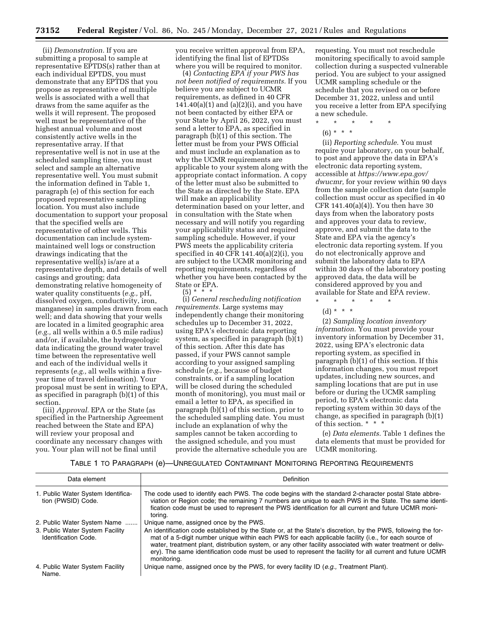(ii) *Demonstration.* If you are submitting a proposal to sample at representative EPTDS(s) rather than at each individual EPTDS, you must demonstrate that any EPTDS that you propose as representative of multiple wells is associated with a well that draws from the same aquifer as the wells it will represent. The proposed well must be representative of the highest annual volume and most consistently active wells in the representative array. If that representative well is not in use at the scheduled sampling time, you must select and sample an alternative representative well. You must submit the information defined in Table 1, paragraph (e) of this section for each proposed representative sampling location. You must also include documentation to support your proposal that the specified wells are representative of other wells. This documentation can include systemmaintained well logs or construction drawings indicating that the representative well(s) is/are at a representative depth, and details of well casings and grouting; data demonstrating relative homogeneity of water quality constituents (*e.g.,* pH, dissolved oxygen, conductivity, iron, manganese) in samples drawn from each well; and data showing that your wells are located in a limited geographic area (*e.g.,* all wells within a 0.5 mile radius) and/or, if available, the hydrogeologic data indicating the ground water travel time between the representative well and each of the individual wells it represents (*e.g.,* all wells within a fiveyear time of travel delineation). Your proposal must be sent in writing to EPA, as specified in paragraph (b)(1) of this section.

(iii) *Approval.* EPA or the State (as specified in the Partnership Agreement reached between the State and EPA) will review your proposal and coordinate any necessary changes with you. Your plan will not be final until

you receive written approval from EPA, identifying the final list of EPTDSs where you will be required to monitor.

(4) *Contacting EPA if your PWS has not been notified of requirements.* If you believe you are subject to UCMR requirements, as defined in 40 CFR  $141.40(a)(1)$  and  $(a)(2)(i)$ , and you have not been contacted by either EPA or your State by April 26, 2022, you must send a letter to EPA, as specified in paragraph (b)(1) of this section. The letter must be from your PWS Official and must include an explanation as to why the UCMR requirements are applicable to your system along with the appropriate contact information. A copy of the letter must also be submitted to the State as directed by the State. EPA will make an applicability determination based on your letter, and in consultation with the State when necessary and will notify you regarding your applicability status and required sampling schedule. However, if your PWS meets the applicability criteria specified in 40 CFR  $141.40(a)(2)(i)$ , you are subject to the UCMR monitoring and reporting requirements, regardless of whether you have been contacted by the State or EPA.

### $(5) * * * *$

(i) *General rescheduling notification requirements.* Large systems may independently change their monitoring schedules up to December 31, 2022, using EPA's electronic data reporting system, as specified in paragraph  $(b)(1)$ of this section. After this date has passed, if your PWS cannot sample according to your assigned sampling schedule (*e.g.,* because of budget constraints, or if a sampling location will be closed during the scheduled month of monitoring), you must mail or email a letter to EPA, as specified in paragraph (b)(1) of this section, prior to the scheduled sampling date. You must include an explanation of why the samples cannot be taken according to the assigned schedule, and you must provide the alternative schedule you are requesting. You must not reschedule monitoring specifically to avoid sample collection during a suspected vulnerable period. You are subject to your assigned UCMR sampling schedule or the schedule that you revised on or before December 31, 2022, unless and until you receive a letter from EPA specifying a new schedule.

- \* \* \* \* \*
	- $(6) * * * *$

(ii) *Reporting schedule.* You must require your laboratory, on your behalf, to post and approve the data in EPA's electronic data reporting system, accessible at *[https://www.epa.gov/](https://www.epa.gov/dwucmr)  [dwucmr,](https://www.epa.gov/dwucmr)* for your review within 90 days from the sample collection date (sample collection must occur as specified in 40 CFR 141.40(a)(4)). You then have 30 days from when the laboratory posts and approves your data to review, approve, and submit the data to the State and EPA via the agency's electronic data reporting system. If you do not electronically approve and submit the laboratory data to EPA within 30 days of the laboratory posting approved data, the data will be considered approved by you and available for State and EPA review. \* \* \* \* \*

 $(d) * * * *$ 

(2) *Sampling location inventory information.* You must provide your inventory information by December 31, 2022, using EPA's electronic data reporting system, as specified in paragraph (b)(1) of this section. If this information changes, you must report updates, including new sources, and sampling locations that are put in use before or during the UCMR sampling period, to EPA's electronic data reporting system within 30 days of the change, as specified in paragraph (b)(1) of this section. \* \* \*

(e) *Data elements.* Table 1 defines the data elements that must be provided for UCMR monitoring.

#### TABLE 1 TO PARAGRAPH (e)—UNREGULATED CONTAMINANT MONITORING REPORTING REQUIREMENTS

| Data element                                                   | <b>Definition</b>                                                                                                                                                                                                                                                                                                                                                                                                                                                  |
|----------------------------------------------------------------|--------------------------------------------------------------------------------------------------------------------------------------------------------------------------------------------------------------------------------------------------------------------------------------------------------------------------------------------------------------------------------------------------------------------------------------------------------------------|
| 1. Public Water System Identifica-<br>tion (PWSID) Code.       | The code used to identify each PWS. The code begins with the standard 2-character postal State abbre-<br>viation or Region code; the remaining 7 numbers are unique to each PWS in the State. The same identi-<br>fication code must be used to represent the PWS identification for all current and future UCMR moni-<br>torina.                                                                                                                                  |
| 2. Public Water System Name                                    | Unique name, assigned once by the PWS.                                                                                                                                                                                                                                                                                                                                                                                                                             |
| 3. Public Water System Facility<br><b>Identification Code.</b> | An identification code established by the State or, at the State's discretion, by the PWS, following the for-<br>mat of a 5-digit number unique within each PWS for each applicable facility (i.e., for each source of<br>water, treatment plant, distribution system, or any other facility associated with water treatment or deliv-<br>ery). The same identification code must be used to represent the facility for all current and future UCMR<br>monitoring. |
| 4. Public Water System Facility<br>Name.                       | Unique name, assigned once by the PWS, for every facility ID (e.g., Treatment Plant).                                                                                                                                                                                                                                                                                                                                                                              |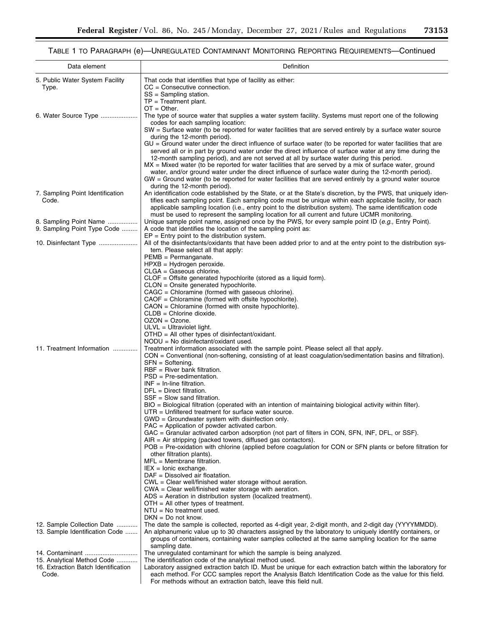# TABLE 1 TO PARAGRAPH (e)—UNREGULATED CONTAMINANT MONITORING REPORTING REQUIREMENTS—Continued

| Data element                                                 | Definition                                                                                                                                                                                                         |
|--------------------------------------------------------------|--------------------------------------------------------------------------------------------------------------------------------------------------------------------------------------------------------------------|
| 5. Public Water System Facility                              | That code that identifies that type of facility as either:                                                                                                                                                         |
| Type.                                                        | $CC =$ Consecutive connection.                                                                                                                                                                                     |
|                                                              | $SS =$ Sampling station.<br>$TP = Treatment plant$ .                                                                                                                                                               |
|                                                              | $OT = Other$ .                                                                                                                                                                                                     |
| 6. Water Source Type                                         | The type of source water that supplies a water system facility. Systems must report one of the following<br>codes for each sampling location:                                                                      |
|                                                              | SW = Surface water (to be reported for water facilities that are served entirely by a surface water source                                                                                                         |
|                                                              | during the 12-month period).<br>$GU = Ground$ water under the direct influence of surface water (to be reported for water facilities that are                                                                      |
|                                                              | served all or in part by ground water under the direct influence of surface water at any time during the                                                                                                           |
|                                                              | 12-month sampling period), and are not served at all by surface water during this period.<br>$MX = Mixed$ water (to be reported for water facilities that are served by a mix of surface water, ground             |
|                                                              | water, and/or ground water under the direct influence of surface water during the 12-month period).                                                                                                                |
|                                                              | $GW =$ Ground water (to be reported for water facilities that are served entirely by a ground water source                                                                                                         |
| 7. Sampling Point Identification                             | during the 12-month period).<br>An identification code established by the State, or at the State's discretion, by the PWS, that uniquely iden-                                                                     |
| Code.                                                        | tifies each sampling point. Each sampling code must be unique within each applicable facility, for each                                                                                                            |
|                                                              | applicable sampling location (i.e., entry point to the distribution system). The same identification code                                                                                                          |
| 8. Sampling Point Name                                       | must be used to represent the sampling location for all current and future UCMR monitoring.<br>Unique sample point name, assigned once by the PWS, for every sample point ID (e.g., Entry Point).                  |
| 9. Sampling Point Type Code                                  | A code that identifies the location of the sampling point as:                                                                                                                                                      |
|                                                              | $EP = Entry$ point to the distribution system.                                                                                                                                                                     |
|                                                              | All of the disinfectants/oxidants that have been added prior to and at the entry point to the distribution sys-<br>tem. Please select all that apply:                                                              |
|                                                              | $PEMB = Permanganate.$                                                                                                                                                                                             |
|                                                              | $HPXB = Hydrogen$ peroxide.<br>$CLGA =$ Gaseous chlorine.                                                                                                                                                          |
|                                                              | $CLOF = Office generated hypochlorite (stored as a liquid form).$                                                                                                                                                  |
|                                                              | CLON = Onsite generated hypochlorite.                                                                                                                                                                              |
|                                                              | CAGC = Chloramine (formed with gaseous chlorine).<br>CAOF = Chloramine (formed with offsite hypochlorite).                                                                                                         |
|                                                              | $CAON = Chloramine$ (formed with onsite hypochlorite).                                                                                                                                                             |
|                                                              | $CLDB = Chlorine dioxide.$                                                                                                                                                                                         |
|                                                              | $OZON = Ozone.$<br>$ULVL = Ultraviolet light.$                                                                                                                                                                     |
|                                                              | $OTHD = All other types of distinct/oxidant.$                                                                                                                                                                      |
| 11. Treatment Information                                    | $NODU = No$ disinfectant/oxidant used.                                                                                                                                                                             |
|                                                              | Treatment information associated with the sample point. Please select all that apply.<br>CON = Conventional (non-softening, consisting of at least coagulation/sedimentation basins and filtration).               |
|                                                              | $SFN = Softening$ .                                                                                                                                                                                                |
|                                                              | $RBF = River bank filtration.$<br>$PSD = Pre-sedimentation.$                                                                                                                                                       |
|                                                              | $INF = In-line filtration.$                                                                                                                                                                                        |
|                                                              | $DFL = Direct filtration.$                                                                                                                                                                                         |
|                                                              | $SSE = Slow$ sand filtration.<br>BIO = Biological filtration (operated with an intention of maintaining biological activity within filter).                                                                        |
|                                                              | $UTR =$ Unfiltered treatment for surface water source.                                                                                                                                                             |
|                                                              | $GWD = Groundwater system with disinfection only.$                                                                                                                                                                 |
|                                                              | PAC = Application of powder activated carbon.<br>GAC = Granular activated carbon adsorption (not part of filters in CON, SFN, INF, DFL, or SSF).                                                                   |
|                                                              | $AIR = Air$ stripping (packed towers, diffused gas contactors).                                                                                                                                                    |
|                                                              | POB = Pre-oxidation with chlorine (applied before coagulation for CON or SFN plants or before filtration for<br>other filtration plants).                                                                          |
|                                                              | $MFL = Membrane filtration.$                                                                                                                                                                                       |
|                                                              | $IEX = I$ onic exchange.                                                                                                                                                                                           |
|                                                              | $DAF = Dissolved air$ floatation.<br>CWL = Clear well/finished water storage without aeration.                                                                                                                     |
|                                                              | $CWA = Clear$ well/finished water storage with aeration.                                                                                                                                                           |
|                                                              | ADS = Aeration in distribution system (localized treatment).<br>$OTH = All other types of treatment.$                                                                                                              |
|                                                              | $NTU = No treatment used.$                                                                                                                                                                                         |
|                                                              | $DKN = Do$ not know.                                                                                                                                                                                               |
| 12. Sample Collection Date<br>13. Sample Identification Code | The date the sample is collected, reported as 4-digit year, 2-digit month, and 2-digit day (YYYYMMDD).<br>An alphanumeric value up to 30 characters assigned by the laboratory to uniquely identify containers, or |
|                                                              | groups of containers, containing water samples collected at the same sampling location for the same                                                                                                                |
|                                                              | sampling date.                                                                                                                                                                                                     |
| 15. Analytical Method Code                                   | The unregulated contaminant for which the sample is being analyzed.<br>The identification code of the analytical method used.                                                                                      |
| 16. Extraction Batch Identification                          | Laboratory assigned extraction batch ID. Must be unique for each extraction batch within the laboratory for                                                                                                        |
| Code.                                                        | each method. For CCC samples report the Analysis Batch Identification Code as the value for this field.                                                                                                            |
|                                                              | For methods without an extraction batch, leave this field null.                                                                                                                                                    |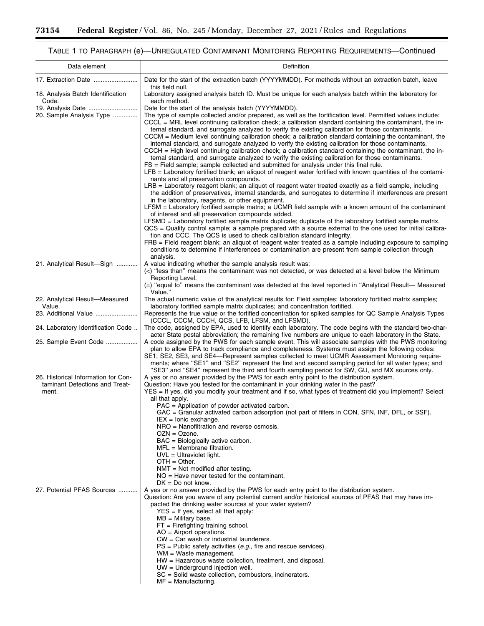$\equiv$ 

# TABLE 1 TO PARAGRAPH (e)—UNREGULATED CONTAMINANT MONITORING REPORTING REQUIREMENTS—Continued

▀

| Data element                                                                                            | Definition                                                                                                                                                                                                                                                                                                                                                                                                                                                                                                                                                                                                                                                                                                                                                                                                                                                                                                                                                                                                                                                                                                                                                                                                                                                                                                                                                                                                                                                                                                                                                                                                                                                                                                                                                                                                                                                                                                                                         |
|---------------------------------------------------------------------------------------------------------|----------------------------------------------------------------------------------------------------------------------------------------------------------------------------------------------------------------------------------------------------------------------------------------------------------------------------------------------------------------------------------------------------------------------------------------------------------------------------------------------------------------------------------------------------------------------------------------------------------------------------------------------------------------------------------------------------------------------------------------------------------------------------------------------------------------------------------------------------------------------------------------------------------------------------------------------------------------------------------------------------------------------------------------------------------------------------------------------------------------------------------------------------------------------------------------------------------------------------------------------------------------------------------------------------------------------------------------------------------------------------------------------------------------------------------------------------------------------------------------------------------------------------------------------------------------------------------------------------------------------------------------------------------------------------------------------------------------------------------------------------------------------------------------------------------------------------------------------------------------------------------------------------------------------------------------------------|
|                                                                                                         | Date for the start of the extraction batch (YYYYMMDD). For methods without an extraction batch, leave                                                                                                                                                                                                                                                                                                                                                                                                                                                                                                                                                                                                                                                                                                                                                                                                                                                                                                                                                                                                                                                                                                                                                                                                                                                                                                                                                                                                                                                                                                                                                                                                                                                                                                                                                                                                                                              |
| 18. Analysis Batch Identification<br>Code.                                                              | this field null.<br>Laboratory assigned analysis batch ID. Must be unique for each analysis batch within the laboratory for<br>each method.                                                                                                                                                                                                                                                                                                                                                                                                                                                                                                                                                                                                                                                                                                                                                                                                                                                                                                                                                                                                                                                                                                                                                                                                                                                                                                                                                                                                                                                                                                                                                                                                                                                                                                                                                                                                        |
| 20. Sample Analysis Type                                                                                | Date for the start of the analysis batch (YYYYMMDD).<br>The type of sample collected and/or prepared, as well as the fortification level. Permitted values include:<br>CCCL = MRL level continuing calibration check; a calibration standard containing the contaminant, the in-<br>ternal standard, and surrogate analyzed to verify the existing calibration for those contaminants.<br>CCCM = Medium level continuing calibration check; a calibration standard containing the contaminant, the<br>internal standard, and surrogate analyzed to verify the existing calibration for those contaminants.<br>CCCH = High level continuing calibration check; a calibration standard containing the contaminant, the in-<br>ternal standard, and surrogate analyzed to verify the existing calibration for those contaminants.<br>FS = Field sample; sample collected and submitted for analysis under this final rule.<br>LFB = Laboratory fortified blank; an aliquot of reagent water fortified with known quantities of the contami-<br>nants and all preservation compounds.<br>LRB = Laboratory reagent blank; an aliquot of reagent water treated exactly as a field sample, including<br>the addition of preservatives, internal standards, and surrogates to determine if interferences are present<br>in the laboratory, reagents, or other equipment.<br>LFSM = Laboratory fortified sample matrix; a UCMR field sample with a known amount of the contaminant<br>of interest and all preservation compounds added.<br>LFSMD = Laboratory fortified sample matrix duplicate; duplicate of the laboratory fortified sample matrix.<br>QCS = Quality control sample; a sample prepared with a source external to the one used for initial calibra-<br>tion and CCC. The QCS is used to check calibration standard integrity.<br>FRB = Field reagent blank; an aliquot of reagent water treated as a sample including exposure to sampling |
| 21. Analytical Result-Sign                                                                              | conditions to determine if interferences or contamination are present from sample collection through<br>analysis.<br>A value indicating whether the sample analysis result was:<br>(<) "less than" means the contaminant was not detected, or was detected at a level below the Minimum<br>Reporting Level.<br>$(=)$ "equal to" means the contaminant was detected at the level reported in "Analytical Result— Measured                                                                                                                                                                                                                                                                                                                                                                                                                                                                                                                                                                                                                                                                                                                                                                                                                                                                                                                                                                                                                                                                                                                                                                                                                                                                                                                                                                                                                                                                                                                           |
| 22. Analytical Result-Measured<br>Value.                                                                | Value."<br>The actual numeric value of the analytical results for: Field samples; laboratory fortified matrix samples;<br>laboratory fortified sample matrix duplicates; and concentration fortified.                                                                                                                                                                                                                                                                                                                                                                                                                                                                                                                                                                                                                                                                                                                                                                                                                                                                                                                                                                                                                                                                                                                                                                                                                                                                                                                                                                                                                                                                                                                                                                                                                                                                                                                                              |
|                                                                                                         | Represents the true value or the fortified concentration for spiked samples for QC Sample Analysis Types<br>(CCCL, CCCM, CCCH, QCS, LFB, LFSM, and LFSMD).                                                                                                                                                                                                                                                                                                                                                                                                                                                                                                                                                                                                                                                                                                                                                                                                                                                                                                                                                                                                                                                                                                                                                                                                                                                                                                                                                                                                                                                                                                                                                                                                                                                                                                                                                                                         |
| 24. Laboratory Identification Code                                                                      | The code, assigned by EPA, used to identify each laboratory. The code begins with the standard two-char-<br>acter State postal abbreviation; the remaining five numbers are unique to each laboratory in the State.                                                                                                                                                                                                                                                                                                                                                                                                                                                                                                                                                                                                                                                                                                                                                                                                                                                                                                                                                                                                                                                                                                                                                                                                                                                                                                                                                                                                                                                                                                                                                                                                                                                                                                                                |
| 25. Sample Event Code<br>26. Historical Information for Con-<br>taminant Detections and Treat-<br>ment. | A code assigned by the PWS for each sample event. This will associate samples with the PWS monitoring<br>plan to allow EPA to track compliance and completeness. Systems must assign the following codes:<br>SE1, SE2, SE3, and SE4—Represent samples collected to meet UCMR Assessment Monitoring require-<br>ments; where "SE1" and "SE2" represent the first and second sampling period for all water types; and<br>"SE3" and "SE4" represent the third and fourth sampling period for SW, GU, and MX sources only.<br>A yes or no answer provided by the PWS for each entry point to the distribution system.<br>Question: Have you tested for the contaminant in your drinking water in the past?<br>YES = If yes, did you modify your treatment and if so, what types of treatment did you implement? Select<br>all that apply.                                                                                                                                                                                                                                                                                                                                                                                                                                                                                                                                                                                                                                                                                                                                                                                                                                                                                                                                                                                                                                                                                                              |
| 27. Potential PFAS Sources                                                                              | PAC = Application of powder activated carbon.<br>GAC = Granular activated carbon adsorption (not part of filters in CON, SFN, INF, DFL, or SSF).<br>$IEX = I$ onic exchange.<br>NRO = Nanofiltration and reverse osmosis.<br>$OZN = Ozone$ .<br>$BAC = Biologically active carbon.$<br>$MFL = Membrane filtration.$<br>$UVL = Ultraviolet light.$<br>$OTH = Other$ .<br>$NMT = Not$ modified after testing.<br>$NO = Have$ never tested for the contaminant.<br>$DK = Do$ not know.<br>A yes or no answer provided by the PWS for each entry point to the distribution system.<br>Question: Are you aware of any potential current and/or historical sources of PFAS that may have im-<br>pacted the drinking water sources at your water system?<br>$YES = If yes, select all that apply:$<br>$MB =$ Military base.<br>$FT =$ Firefighting training school.<br>$AO = Airport operations.$<br>$CW = Car$ wash or industrial launderers.<br>$PS =$ Public safety activities (e.g., fire and rescue services).<br>$WM = Waste management$ .<br>$HW = Hazardous$ waste collection, treatment, and disposal.<br>$UW =$ Underground injection well.<br>$SC = Solid$ waste collection, combustors, incinerators.<br>$MF =$ Manufacturing.                                                                                                                                                                                                                                                                                                                                                                                                                                                                                                                                                                                                                                                                                                                |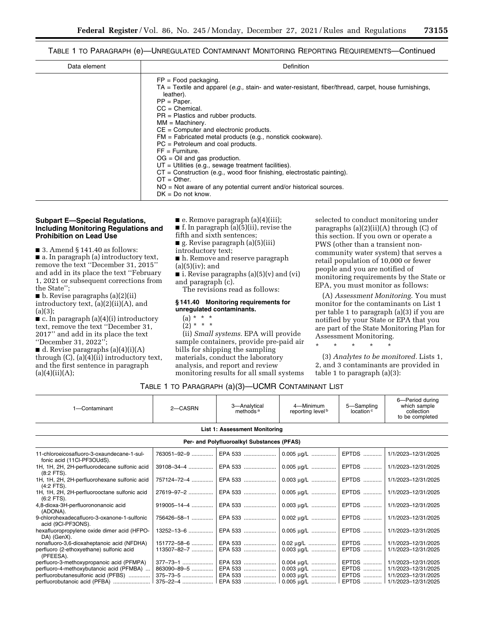TABLE 1 TO PARAGRAPH (e)—UNREGULATED CONTAMINANT MONITORING REPORTING REQUIREMENTS—Continued

| Data element | Definition                                                                                                                                                                                                                                                                                                                                                                                                                                                 |  |  |  |
|--------------|------------------------------------------------------------------------------------------------------------------------------------------------------------------------------------------------------------------------------------------------------------------------------------------------------------------------------------------------------------------------------------------------------------------------------------------------------------|--|--|--|
|              | $FP = Food$ packaging.<br>TA = Textile and apparel (e.g., stain- and water-resistant, fiber/thread, carpet, house furnishings,<br>leather).<br>$PP = Paper.$<br>$CC = Chemical$ .<br>$PR = Plastics$ and rubber products.<br>$MM = Machinerv.$<br>$CE = Computer$ and electronic products.<br>$FM = Fabricated metal products (e.g., nonstick cookware).$<br>$PC = Petroleum$ and coal products.<br>$FF = Furthermore$ .<br>$OG = Oil$ and gas production. |  |  |  |
|              | $UT =$ Utilities (e.g., sewage treatment facilities).<br>$CT =$ Construction (e.g., wood floor finishing, electrostatic painting).<br>$OT = Other$ .                                                                                                                                                                                                                                                                                                       |  |  |  |
|              | $NO = Not$ aware of any potential current and/or historical sources.<br>$DK = Do$ not know.                                                                                                                                                                                                                                                                                                                                                                |  |  |  |

### **Subpart E—Special Regulations, Including Monitoring Regulations and Prohibition on Lead Use**

■ 3. Amend § 141.40 as follows: ■ a. In paragraph (a) introductory text, remove the text ''December 31, 2015'' and add in its place the text ''February 1, 2021 or subsequent corrections from the State'';

■ b. Revise paragraphs (a)(2)(ii) introductory text, (a)(2)(ii)(A), and  $(a)(3)$ :

 $\blacksquare$  c. In paragraph (a)(4)(i) introductory text, remove the text ''December 31, 2017'' and add in its place the text ''December 31, 2022'';

■ d. Revise paragraphs (a)(4)(i)(A) through  $(C)$ ,  $(a)(4)(ii)$  introductory text, and the first sentence in paragraph  $(a)(4)(ii)(A);$ 

- e. Remove paragraph (a)(4)(iii);
- **f.** In paragraph  $(a)(5)(ii)$ , revise the

fifth and sixth sentences;

- g. Revise paragraph (a)(5)(iii)
- introductory text;
- h. Remove and reserve paragraph  $(a)(5)(iv);$  and

 $\blacksquare$  i. Revise paragraphs (a)(5)(v) and (vi) and paragraph (c).

The revisions read as follows:

#### **§ 141.40 Monitoring requirements for unregulated contaminants.**

- $(a) * * * *$
- $(2) * * * *$

(ii) *Small systems.* EPA will provide sample containers, provide pre-paid air bills for shipping the sampling materials, conduct the laboratory analysis, and report and review monitoring results for all small systems selected to conduct monitoring under paragraphs  $(a)(2)(ii)(A)$  through  $(C)$  of this section. If you own or operate a PWS (other than a transient noncommunity water system) that serves a retail population of 10,000 or fewer people and you are notified of monitoring requirements by the State or EPA, you must monitor as follows:

(A) *Assessment Monitoring.* You must monitor for the contaminants on List 1 per table 1 to paragraph (a)(3) if you are notified by your State or EPA that you are part of the State Monitoring Plan for Assessment Monitoring.

\* \* \* \* \*

(3) *Analytes to be monitored.* Lists 1, 2, and 3 contaminants are provided in table 1 to paragraph (a)(3):

# TABLE 1 TO PARAGRAPH (a)(3)—UCMR CONTAMINANT LIST

| 1-Contaminant                                                            | 2-CASRN | 3-Analytical<br>methods <sup>a</sup>                                | 4-Minimum<br>reporting level <sup>b</sup>  | 5-Sampling<br>location <sup>c</sup> | 6-Period during<br>which sample<br>collection<br>to be completed |
|--------------------------------------------------------------------------|---------|---------------------------------------------------------------------|--------------------------------------------|-------------------------------------|------------------------------------------------------------------|
|                                                                          |         | <b>List 1: Assessment Monitoring</b>                                |                                            |                                     |                                                                  |
|                                                                          |         | Per- and Polyfluoroalkyl Substances (PFAS)                          |                                            |                                     |                                                                  |
| 11-chloroeicosafluoro-3-oxaundecane-1-sul-<br>fonic acid (11CI-PF3OUdS). |         | 763051-92-9    EPA 533                                              | $0.005 \mu g/L$   EPTDS                    |                                     | 1/1/2023-12/31/2025                                              |
| 1H, 1H, 2H, 2H-perfluorodecane sulfonic acid<br>(8:2 FTS).               |         | 39108-34-4    EPA 533                                               | 0.005 µg/L    EPTDS    1/1/2023-12/31/2025 |                                     |                                                                  |
| 1H, 1H, 2H, 2H-perfluorohexane sulfonic acid<br>$(4:2$ FTS).             |         | 757124-72-4    EPA 533                                              | 0.003 μg/L   EPTDS   1/1/2023-12/31/2025   |                                     |                                                                  |
| 1H, 1H, 2H, 2H-perfluorooctane sulfonic acid<br>$(6:2$ FTS).             |         | 27619-97-2    EPA 533                                               | 0.005 μg/L   EPTDS   1/1/2023-12/31/2025   |                                     |                                                                  |
| 4,8-dioxa-3H-perfluorononanoic acid<br>(ADONA).                          |         | 919005-14-4    EPA 533                                              | 0.003 μg/L   EPTDS   1/1/2023-12/31/2025   |                                     |                                                                  |
| 9-chlorohexadecafluoro-3-oxanone-1-sulfonic<br>acid (9CI-PF3ONS).        |         | 756426-58-1    EPA 533                                              | 0.002 μg/L   EPTDS   1/1/2023-12/31/2025   |                                     |                                                                  |
| hexafluoropropylene oxide dimer acid (HFPO-<br>DA) (GenX).               |         | 13252-13-6    EPA 533                                               | 0.005 μg/L   EPTDS   1/1/2023-12/31/2025   |                                     |                                                                  |
| nonafluoro-3,6-dioxaheptanoic acid (NFDHA)                               |         | 151772-58-6    EPA 533    0.02 μg/L    EPTDS    1/1/2023-12/31/2025 |                                            |                                     |                                                                  |
| perfluoro (2-ethoxyethane) sulfonic acid<br>(PFEESA).                    |         | 113507-82-7    EPA 533                                              |                                            | EPTDS                               | 1/1/2023-12/31/2025                                              |
| perfluoro-3-methoxypropanoic acid (PFMPA)                                |         | 377-73-1    EPA 533                                                 | 0.004 μg/L   EPTDS   1/1/2023-12/31/2025   |                                     |                                                                  |
| perfluoro-4-methoxybutanoic acid (PFMBA)                                 |         | 863090-89-5    EPA 533                                              |                                            |                                     | EPTDS    1/1/2023-12/31/2025                                     |
| perfluorobutanesulfonic acid (PFBS)                                      |         | 375–73–5    EPA 533                                                 |                                            | EPTDS                               | 1/1/2023-12/31/2025                                              |
|                                                                          |         | 375–22–4  EPA 533    0.005 μg/L    EPTDS    1/1/2023–12/31/2025     |                                            |                                     |                                                                  |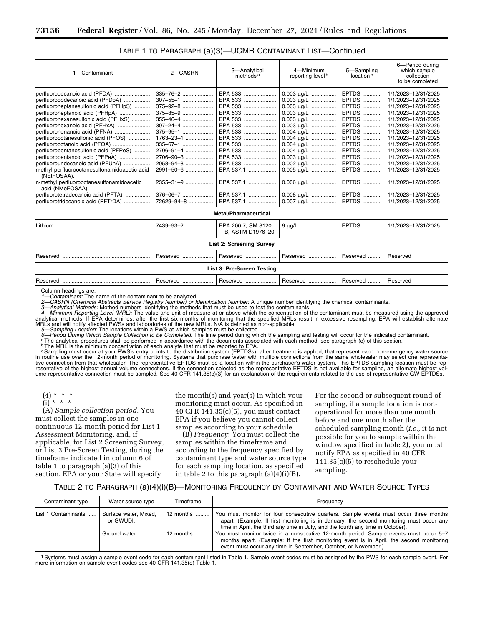| 1-Contaminant                                                                                                                                                                                                                                                                                                                                                                                                                                                                                                                                                                                                                                                 | 2-CASRN                                                                                                                                                             | 3-Analytical<br>methods <sup>a</sup>                                                                                                                                                                                                                                 | 4-Minimum<br>reporting level <sup>b</sup>                                                                                                                                                                                | 5-Sampling<br>location <sup>c</sup>                                                                                                                                                         | 6-Period during<br>which sample<br>collection<br>to be completed                                                                                                                                                                                                                                                                                                             |
|---------------------------------------------------------------------------------------------------------------------------------------------------------------------------------------------------------------------------------------------------------------------------------------------------------------------------------------------------------------------------------------------------------------------------------------------------------------------------------------------------------------------------------------------------------------------------------------------------------------------------------------------------------------|---------------------------------------------------------------------------------------------------------------------------------------------------------------------|----------------------------------------------------------------------------------------------------------------------------------------------------------------------------------------------------------------------------------------------------------------------|--------------------------------------------------------------------------------------------------------------------------------------------------------------------------------------------------------------------------|---------------------------------------------------------------------------------------------------------------------------------------------------------------------------------------------|------------------------------------------------------------------------------------------------------------------------------------------------------------------------------------------------------------------------------------------------------------------------------------------------------------------------------------------------------------------------------|
| perfluorodecanoic acid (PFDA)<br>perfluorododecanoic acid (PFDoA)<br>perfluoroheptanesulfonic acid (PFHpS)<br>perfluoroheptanoic acid (PFHpA)<br>perfluorohexanesulfonic acid (PFHxS)<br>perfluorohexanoic acid (PFHxA)<br>perfluorononanoic acid (PFNA)<br>perfluorooctanesulfonic acid (PFOS)<br>perfluorooctanoic acid (PFOA)<br>perfluoropentanesulfonic acid (PFPeS)<br>perfluoropentanoic acid (PFPeA)<br>perfluoroundecanoic acid (PFUnA)<br>n-ethyl perfluorooctanesulfonamidoacetic acid<br>(NEtFOSAA).<br>n-methyl perfluorooctanesulfonamidoacetic<br>acid (NMeFOSAA).<br>perfluorotetradecanoic acid (PFTA)<br>perfluorotridecanoic acid (PFTrDA) | 335-76-2<br>307-55-1<br>375-92-8<br>375-85-9<br>355-46-4<br>$307 - 24 - 4$<br>375-95-1<br>1763-23-1<br>335-67-1<br>2706-91-4<br>2706-90-3<br>2058-94-8<br>2991-50-6 | EPA 533<br>EPA 533<br>EPA 533<br>EPA 533<br>EPA 533<br>EPA 533<br>EPA 533<br>EPA 533<br>EPA 533<br>EPA 533<br>EPA 533<br>EPA 533<br>EPA 537.1<br>2355-31-9    EPA 537.1   <br>376–06–7    EPA 537.1    0.008 μg/L    EPTDS   <br>72629-94-8   EPA 537.1   0.007 µg/L | 0.003 ug/L<br>$0.003 \mu g/L$<br>0.003 µg/L<br>$0.003 \mu g/L$<br>$0.003 \mu g/L$<br>$0.003 \mu g/L$<br>$0.004 \mu g/L$<br>0.004 µg/L<br>0.004 µg/L   <br>$0.003 \mu g/L$<br>$0.002 \mu g/L$<br>0.005 µg/L<br>0.006 ug/L | EPTDS<br><b>EPTDS</b><br><b>EPTDS</b><br><b>EPTDS</b><br><b>EPTDS</b><br><b>EPTDS</b><br>EPTDS<br>EPTDS<br><b>EPTDS</b><br>EPTDS<br><b>EPTDS</b><br>EPTDS<br>EPTDS<br><b>EPTDS</b><br>EPTDS | 1/1/2023-12/31/2025<br>1/1/2023-12/31/2025<br>1/1/2023-12/31/2025<br>1/1/2023-12/31/2025<br>1/1/2023-12/31/2025<br>1/1/2023-12/31/2025<br>1/1/2023-12/31/2025<br>1/1/2023-12/31/2025<br>1/1/2023-12/31/2025<br>1/1/2023-12/31/2025<br>1/1/2023-12/31/2025<br>1/1/2023-12/31/2025<br>1/1/2023-12/31/2025<br>1/1/2023-12/31/2025<br>1/1/2023-12/31/2025<br>1/1/2023-12/31/2025 |
|                                                                                                                                                                                                                                                                                                                                                                                                                                                                                                                                                                                                                                                               |                                                                                                                                                                     |                                                                                                                                                                                                                                                                      |                                                                                                                                                                                                                          |                                                                                                                                                                                             |                                                                                                                                                                                                                                                                                                                                                                              |
| <b>Metal/Pharmaceutical</b>                                                                                                                                                                                                                                                                                                                                                                                                                                                                                                                                                                                                                                   |                                                                                                                                                                     |                                                                                                                                                                                                                                                                      |                                                                                                                                                                                                                          |                                                                                                                                                                                             |                                                                                                                                                                                                                                                                                                                                                                              |
|                                                                                                                                                                                                                                                                                                                                                                                                                                                                                                                                                                                                                                                               | 7439-93-2                                                                                                                                                           | EPA 200.7. SM 3120<br>B, ASTM D1976-20.                                                                                                                                                                                                                              |                                                                                                                                                                                                                          | EPTDS                                                                                                                                                                                       | 1/1/2023-12/31/2025                                                                                                                                                                                                                                                                                                                                                          |
| <b>List 2: Screening Survey</b>                                                                                                                                                                                                                                                                                                                                                                                                                                                                                                                                                                                                                               |                                                                                                                                                                     |                                                                                                                                                                                                                                                                      |                                                                                                                                                                                                                          |                                                                                                                                                                                             |                                                                                                                                                                                                                                                                                                                                                                              |
| Reserved                                                                                                                                                                                                                                                                                                                                                                                                                                                                                                                                                                                                                                                      | Reserved                                                                                                                                                            | Reserved                                                                                                                                                                                                                                                             | Reserved                                                                                                                                                                                                                 | Reserved                                                                                                                                                                                    | Reserved                                                                                                                                                                                                                                                                                                                                                                     |
| List 3: Pre-Screen Testing                                                                                                                                                                                                                                                                                                                                                                                                                                                                                                                                                                                                                                    |                                                                                                                                                                     |                                                                                                                                                                                                                                                                      |                                                                                                                                                                                                                          |                                                                                                                                                                                             |                                                                                                                                                                                                                                                                                                                                                                              |
|                                                                                                                                                                                                                                                                                                                                                                                                                                                                                                                                                                                                                                                               |                                                                                                                                                                     |                                                                                                                                                                                                                                                                      |                                                                                                                                                                                                                          |                                                                                                                                                                                             |                                                                                                                                                                                                                                                                                                                                                                              |

# TABLE 1 TO PARAGRAPH (a)(3)—UCMR CONTAMINANT LIST—Continued

Column headings are:

*1—Contaminant:* The name of the contaminant to be analyzed.

2—CASRN (Chemical Abstracts Service Registry Number) or Identification Number: A unique number identifying the chemical contaminants.<br>3—Analytical Methods: Method numbers identifying the methods that must be used to test t

Reserved ......................................................... Reserved .................... Reserved .................... Reserved .................. Reserved ......... Reserved

3—Analytical Methods: Method numbers identifying the methods that must be used to test the contaminants.<br>4—Minimum Reporting Level (MRL): The value and unit of measure at or above which the concentration of the contaminant analytical methods. If EPA determines, after the first six months of monitoring that the specified MRLs result in excessive resampling, EPA will establish alternate<br>MRLs and will notify affected PWSs and laboratories of th *5—Sampling Location:* The locations within a PWS at which samples must be collected.

6-Period During Which Sample Collection to be Completed: The time period during which the sampling and testing will occur for the indicated contaminant.<br><sup>a</sup> The analytical procedures shall be performed in accordance with t

**bThe MRL** is the minimum concentration of each analyte that must be reported to EPA.

Gampling must occur at your PWS's entry points to the distribution system (EPTDSs), after treatment is applied, that represent each non-emergency water source in routine use over the 12-month period of monitoring. Systems tive connection from that wholesaler. The representative EPTDS must be a location within the purchaser's water system. This EPTDS sampling location must be representative of the highest annual volume connections. If the connection selected as the representative EPTDS is not available for sampling, an alternate highest vol-<br>ume representative connection must be sampled. See 40 CF

 $(4) * * * *$ 

 $(i) * * * *$ 

(A) *Sample collection period.* You must collect the samples in one continuous 12-month period for List 1 Assessment Monitoring, and, if applicable, for List 2 Screening Survey, or List 3 Pre-Screen Testing, during the timeframe indicated in column 6 of table 1 to paragraph (a)(3) of this section. EPA or your State will specify

the month(s) and year(s) in which your monitoring must occur. As specified in 40 CFR 141.35(c)(5), you must contact EPA if you believe you cannot collect samples according to your schedule.

(B) *Frequency.* You must collect the samples within the timeframe and according to the frequency specified by contaminant type and water source type for each sampling location, as specified in table 2 to this paragraph (a)(4)(i)(B).

For the second or subsequent round of sampling, if a sample location is nonoperational for more than one month before and one month after the scheduled sampling month (*i.e.,* it is not possible for you to sample within the window specified in table 2), you must notify EPA as specified in 40 CFR 141.35(c)(5) to reschedule your sampling.

### TABLE 2 TO PARAGRAPH (a)(4)(i)(B)—MONITORING FREQUENCY BY CONTAMINANT AND WATER SOURCE TYPES

| Contaminant type    | Water source type                  | Timeframe | Frequency <sup>1</sup>                                                                                                                                                                                                                                               |
|---------------------|------------------------------------|-----------|----------------------------------------------------------------------------------------------------------------------------------------------------------------------------------------------------------------------------------------------------------------------|
| List 1 Contaminants | Surface water, Mixed.<br>or GWUDI. | 12 months | You must monitor for four consecutive quarters. Sample events must occur three months<br>apart. (Example: If first monitoring is in January, the second monitoring must occur any<br>time in April, the third any time in July, and the fourth any time in October). |
|                     | Ground water    12 months          |           | You must monitor twice in a consecutive 12-month period. Sample events must occur 5-7<br>months apart. (Example: If the first monitoring event is in April, the second monitoring<br>event must occur any time in September, October, or November.)                  |

1Systems must assign a sample event code for each contaminant listed in Table 1. Sample event codes must be assigned by the PWS for each sample event. For more information on sample event codes see 40 CFR 141.35(e) Table 1.